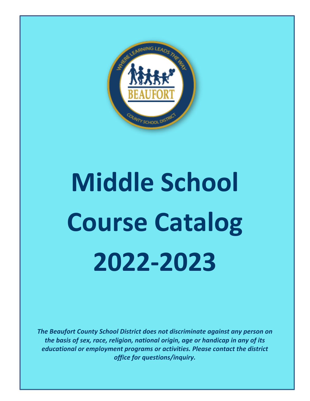

# **Middle School Course Catalog 2022-2023**

*The Beaufort County School District does not discriminate against any person on the basis of sex, race, religion, national origin, age or handicap in any of its educational or employment programs or activities. Please contact the district office for questions/inquiry.*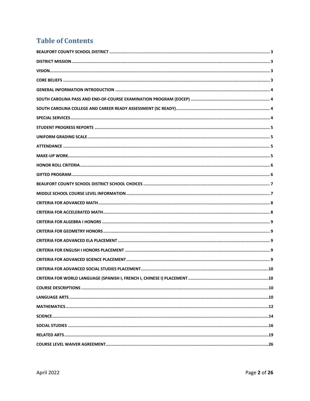## **Table of Contents**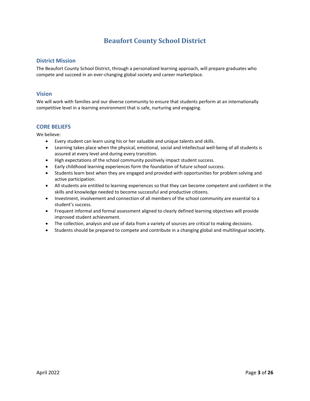## **Beaufort County School District**

#### <span id="page-2-1"></span><span id="page-2-0"></span>**District Mission**

<span id="page-2-2"></span>The Beaufort County School District, through a personalized learning approach, will prepare graduates who compete and succeed in an ever-changing global society and career marketplace.

#### **Vision**

<span id="page-2-3"></span>We will work with families and our diverse community to ensure that students perform at an internationally competitive level in a learning environment that is safe, nurturing and engaging.

#### **CORE BELIEFS**

We believe:

- Every student can learn using his or her valuable and unique talents and skills.
- Learning takes place when the physical, emotional, social and intellectual well-being of all students is assured at every level and during every transition.
- High expectations of the school community positively impact student success.
- Early childhood learning experiences form the foundation of future school success.
- Students learn best when they are engaged and provided with opportunities for problem solving and active participation.
- All students are entitled to learning experiences so that they can become competent and confident in the skills and knowledge needed to become successful and productive citizens.
- Investment, involvement and connection of all members of the school community are essential to a student's success.
- Frequent informal and formal assessment aligned to clearly defined learning objectives will provide improved student achievement.
- The collection, analysis and use of data from a variety of sources are critical to making decisions.
- Students should be prepared to compete and contribute in a changing global and multilingual society.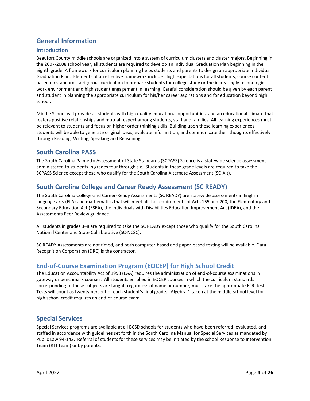## <span id="page-3-0"></span>**General Information**

#### **Introduction**

Beaufort County middle schools are organized into a system of curriculum clusters and cluster majors. Beginning in the 2007-2008 school year, all students are required to develop an Individual Graduation Plan beginning in the eighth grade. A framework for curriculum planning helps students and parents to design an appropriate Individual Graduation Plan. Elements of an effective framework include: high expectations for all students, course content based on standards, a rigorous curriculum to prepare students for college study or the increasingly technologic work environment and high student engagement in learning. Careful consideration should be given by each parent and student in planning the appropriate curriculum for his/her career aspirations and for education beyond high school.

Middle School will provide all students with high quality educational opportunities, and an educational climate that fosters positive relationships and mutual respect among students, staff and families. All learning experiences must be relevant to students and focus on higher order thinking skills. Building upon these learning experiences, students will be able to generate original ideas, evaluate information, and communicate their thoughts effectively through Reading, Writing, Speaking and Reasoning.

#### <span id="page-3-1"></span>**South Carolina PASS**

The South Carolina Palmetto Assessment of State Standards (SCPASS) Science is a statewide science assessment administered to students in grades four through six. Students in these grade levels are required to take the SCPASS Science except those who qualify for the South Carolina Alternate Assessment (SC-Alt).

#### <span id="page-3-2"></span>**South Carolina College and Career Ready Assessment (SC READY)**

The South Carolina College-and Career-Ready Assessments (SC READY) are statewide assessments in English language arts (ELA) and mathematics that will meet all the requirements of Acts 155 and 200, the Elementary and Secondary Education Act (ESEA), the Individuals with Disabilities Education Improvement Act (IDEA), and the Assessments Peer Review guidance.

All students in grades 3–8 are required to take the SC READY except those who qualify for the South Carolina National Center and State Collaborative (SC-NCSC).

SC READY Assessments are not timed, and both computer-based and paper-based testing will be available. Data Recognition Corporation (DRC) is the contractor.

#### **End-of-Course Examination Program (EOCEP) for High School Credit**

The Education Accountability Act of 1998 (EAA) requires the administration of end-of-course examinations in gateway or benchmark courses. All students enrolled in EOCEP courses in which the curriculum standards corresponding to these subjects are taught, regardless of name or number, must take the appropriate EOC tests. Tests will count as twenty percent of each student's final grade. Algebra 1 taken at the middle school level for high school credit requires an end-of-course exam.

#### <span id="page-3-3"></span>**Special Services**

Special Services programs are available at all BCSD schools for students who have been referred, evaluated, and staffed in accordance with guidelines set forth in the South Carolina Manual for Special Services as mandated by Public Law 94-142. Referral of students for these services may be initiated by the school Response to Intervention Team (RTI Team) or by parents.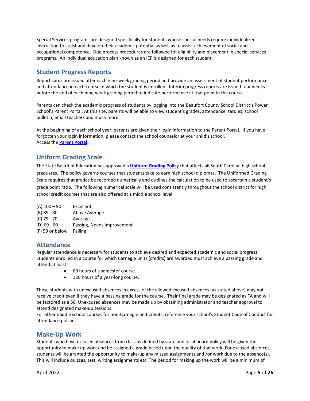Special Services programs are designed specifically for students whose special needs require individualized instruction to assist and develop their academic potential as well as to assist achievement of social and occupational competence. Due process procedures are followed for eligibility and placement in special services programs. An individual education plan known as an IEP is designed for each student.

#### <span id="page-4-0"></span>**Student Progress Reports**

Report cards are issued after each nine-week grading period and provide an assessment of student performance and attendance in each course in which the student is enrolled. Interim progress reports are issued four weeks before the end of each nine-week grading period to indicate performance at that point in the course.

Parents can check the academic progress of students by logging into the Beaufort County School District's Power School's Parent Portal. At this site, parents will be able to view student's grades, attendance, tardies, school bulletin, email teachers and much more.

At the beginning of each school year, parents are given their login information to the Parent Portal. If you have forgotten your login information, please contact the school counselor at your child's school. Access the **[Parent Portal](https://pschool.beaufort.k12.sc.us/guardian/home.html)**.

#### <span id="page-4-1"></span>**Uniform Grading Scale**

The State Board of Education has approved a **[Uniform Grading Policy](https://ed.sc.gov/districts-schools/state-accountability/uniform-grading-policy/ugp-may-2019-final-pdf/)** that affects all South Carolina high school graduates. The policy governs courses that students take to earn high school diplomas. The Uniformed Grading Scale requires that grades be recorded numerically and outlines the calculation to be used to ascertain a student's grade point ratio. The following numerical scale will be used consistently throughout the school district for high school credit courses that are also offered at a middle school level:

| $(A)$ 100 - 90  | Excellent                  |
|-----------------|----------------------------|
| $(B)$ 89 - 80   | Above Average              |
| $(C)$ 79 - 70   | Average                    |
| $(D)$ 69 - 60   | Passing, Needs Improvement |
| (F) 59 or below | Failing                    |

#### <span id="page-4-2"></span>**Attendance**

Regular attendance is necessary for students to achieve desired and expected academic and social progress. Students enrolled in a course for which Carnegie units (credits) are awarded must achieve a passing grade and attend at least:

- 60 hours of a semester course.
- 120 hours of a year-long course.

Those students with unexcused absences in excess of the allowed excused absences (as stated above) may not receive credit even if they have a passing grade for the course. Their final grade may be designated as FA and will be factored as a 50. Unexcused absences may be made up by obtaining administrator and teacher approval to attend designated make-up sessions.

For other middle school courses for non-Carnegie unit credits, reference your school's Student Code of Conduct for attendance policies.

#### <span id="page-4-3"></span>**Make-Up Work**

Students who have excused absences from class as defined by state and local board policy will be given the opportunity to make up work and be assigned a grade based upon the quality of that work. For excused absences, students will be granted the opportunity to make-up any missed assignments and /or work due to the absence(s). This will include quizzes, test, writing assignments etc. The period for making up the work will be a minimum of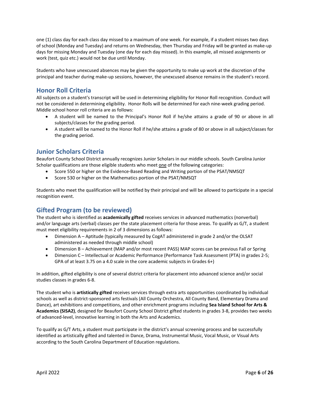one (1) class day for each class day missed to a maximum of one week. For example, if a student misses two days of school (Monday and Tuesday) and returns on Wednesday, then Thursday and Friday will be granted as make-up days for missing Monday and Tuesday (one day for each day missed). In this example, all missed assignments or work (test, quiz etc.) would not be due until Monday.

Students who have unexcused absences may be given the opportunity to make up work at the discretion of the principal and teacher during make-up sessions, however, the unexcused absence remains in the student's record.

#### <span id="page-5-0"></span>**Honor Roll Criteria**

All subjects on a student's transcript will be used in determining eligibility for Honor Roll recognition. Conduct will not be considered in determining eligibility. Honor Rolls will be determined for each nine-week grading period. Middle school honor roll criteria are as follows:

- A student will be named to the Principal's Honor Roll if he/she attains a grade of 90 or above in all subjects/classes for the grading period.
- A student will be named to the Honor Roll if he/she attains a grade of 80 or above in all subject/classes for the grading period.

#### **Junior Scholars Criteria**

Beaufort County School District annually recognizes Junior Scholars in our middle schools. South Carolina Junior Scholar qualifications are those eligible students who meet one of the following categories:

- Score 550 or higher on the Evidence-Based Reading and Writing portion of the PSAT/NMSQT
- Score 530 or higher on the Mathematics portion of the PSAT/NMSQT

Students who meet the qualification will be notified by their principal and will be allowed to participate in a special recognition event.

#### <span id="page-5-1"></span>**Gifted Program (to be reviewed)**

The student who is identified as **academically gifted** receives services in advanced mathematics (nonverbal) and/or language arts (verbal) classes per the state placement criteria for those areas. To qualify as G/T, a student must meet eligibility requirements in 2 of 3 dimensions as follows:

- Dimension A Aptitude (typically measured by CogAT administered in grade 2 and/or the OLSAT administered as needed through middle school)
- Dimension B Achievement (MAP and/or most recent PASS) MAP scores can be previous Fall or Spring
- Dimension C Intellectual or Academic Performance (Performance Task Assessment (PTA) in grades 2-5; GPA of at least 3.75 on a 4.0 scale in the core academic subjects in Grades 6+)

In addition, gifted eligibility is one of several district criteria for placement into advanced science and/or social studies classes in grades 6-8.

The student who is **artistically gifted** receives services through extra arts opportunities coordinated by individual schools as well as district-sponsored arts festivals (All County Orchestra, All County Band, Elementary Drama and Dance), art exhibitions and competitions, and other enrichment programs including **Sea Island School for Arts & Academics (SISA2)**, designed for Beaufort County School District gifted students in grades 3-8, provides two weeks of advanced-level, innovative learning in both the Arts and Academics.

To qualify as G/T Arts, a student must participate in the district's annual screening process and be successfully identified as artistically gifted and talented in Dance, Drama, Instrumental Music, Vocal Music, or Visual Arts according to the South Carolina Department of Education regulations.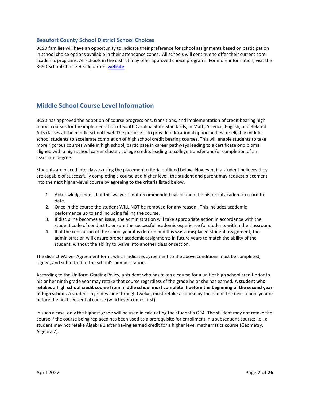#### <span id="page-6-0"></span>**Beaufort County School District School Choices**

BCSD families will have an opportunity to indicate their preference for school assignments based on participation in school choice options available in their attendance zones. All schools will continue to offer their current core academic programs. All schools in the district may offer approved choice programs. For more information, visit the BCSD School Choice Headquarters **[website](http://www.beaufort.k12.sc.us/cms/one.aspx?portalid=170925&pageid=225399)**.

#### <span id="page-6-1"></span>**Middle School Course Level Information**

BCSD has approved the adoption of course progressions, transitions, and implementation of credit bearing high school courses for the implementation of South Carolina State Standards, in Math, Science, English, and Related Arts classes at the middle school level. The purpose is to provide educational opportunities for eligible middle school students to accelerate completion of high school credit bearing courses. This will enable students to take more rigorous courses while in high school, participate in career pathways leading to a certificate or diploma aligned with a high school career cluster, college credits leading to college transfer and/or completion of an associate degree.

Students are placed into classes using the placement criteria outlined below. However, if a student believes they are capable of successfully completing a course at a higher level, the student and parent may request placement into the next higher-level course by agreeing to the criteria listed below.

- 1. Acknowledgement that this waiver is not recommended based upon the historical academic record to date.
- 2. Once in the course the student WILL NOT be removed for any reason. This includes academic performance up to and including failing the course.
- 3. If discipline becomes an issue, the administration will take appropriate action in accordance with the student code of conduct to ensure the successful academic experience for students within the classroom.
- 4. If at the conclusion of the school year it is determined this was a misplaced student assignment, the administration will ensure proper academic assignments in future years to match the ability of the student, without the ability to waive into another class or section.

The district Waiver Agreement form, which indicates agreement to the above conditions must be completed, signed, and submitted to the school's administration.

According to the Uniform Grading Policy, a student who has taken a course for a unit of high school credit prior to his or her ninth grade year may retake that course regardless of the grade he or she has earned. **A student who retakes a high school credit course from middle school must complete it before the beginning of the second year of high school.** A student in grades nine through twelve, must retake a course by the end of the next school year or before the next sequential course (whichever comes first).

In such a case, only the highest grade will be used in calculating the student's GPA. The student may not retake the course if the course being replaced has been used as a prerequisite for enrollment in a subsequent course; i.e., a student may not retake Algebra 1 after having earned credit for a higher level mathematics course (Geometry, Algebra 2).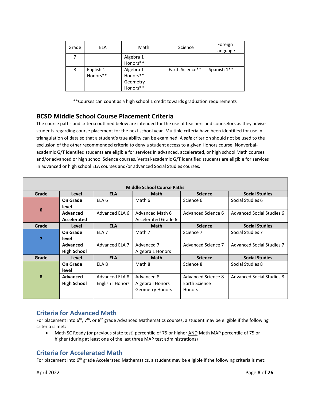| Grade | ELA                   | Math                                          | Science         | Foreign<br>Language |
|-------|-----------------------|-----------------------------------------------|-----------------|---------------------|
|       |                       | Algebra 1<br>Honors**                         |                 |                     |
| 8     | English 1<br>Honors** | Algebra 1<br>Honors**<br>Geometry<br>Honors** | Earth Science** | Spanish 1**         |

\*\*Courses can count as a high school 1 credit towards graduation requirements

## **BCSD Middle School Course Placement Criteria**

The course paths and criteria outlined below are intended for the use of teachers and counselors as they advise students regarding course placement for the next school year. Multiple criteria have been identified for use in triangulation of data so that a student's true ability can be examined. A *sole* criterion should not be used to the exclusion of the other recommended criteria to deny a student access to a given Honors course. Nonverbalacademic G/T identifed students are eligible for services in advanced, accelerated, or high school Math courses and/or advanced or high school Science courses. Verbal-academic G/T identified students are eligible for services in advanced or high school ELA courses and/or advanced Social Studies courses.

| <b>Middle School Course Paths</b> |                    |                  |                        |                    |                                  |  |  |
|-----------------------------------|--------------------|------------------|------------------------|--------------------|----------------------------------|--|--|
| Grade                             | Level              | <b>ELA</b>       | <b>Math</b>            | <b>Science</b>     | <b>Social Studies</b>            |  |  |
|                                   | On Grade           | ELA <sub>6</sub> | Math 6                 | Science 6          | Social Studies 6                 |  |  |
|                                   | level              |                  |                        |                    |                                  |  |  |
| 6                                 | Advanced           | Advanced ELA 6   | Advanced Math 6        | Advanced Science 6 | Advanced Social Studies 6        |  |  |
|                                   | Accelerated        |                  | Accelerated Grade 6    |                    |                                  |  |  |
| Grade                             | Level              | <b>ELA</b>       | <b>Math</b>            | <b>Science</b>     | <b>Social Studies</b>            |  |  |
|                                   | On Grade           | ELA <sub>7</sub> | Math 7                 | Science 7          | Social Studies 7                 |  |  |
| 7                                 | level              |                  |                        |                    |                                  |  |  |
|                                   | Advanced           | Advanced ELA 7   | Advanced 7             | Advanced Science 7 | <b>Advanced Social Studies 7</b> |  |  |
|                                   | <b>High School</b> |                  | Algebra 1 Honors       |                    |                                  |  |  |
| Grade                             | Level              | <b>ELA</b>       | <b>Math</b>            | <b>Science</b>     | <b>Social Studies</b>            |  |  |
|                                   | On Grade           | ELA <sub>8</sub> | Math 8                 | Science 8          | Social Studies 8                 |  |  |
|                                   | level              |                  |                        |                    |                                  |  |  |
| 8                                 | Advanced           | Advanced ELA 8   | Advanced 8             | Advanced Science 8 | <b>Advanced Social Studies 8</b> |  |  |
|                                   | <b>High School</b> | English I Honors | Algebra I Honors       | Earth Science      |                                  |  |  |
|                                   |                    |                  | <b>Geometry Honors</b> | <b>Honors</b>      |                                  |  |  |
|                                   |                    |                  |                        |                    |                                  |  |  |

## <span id="page-7-0"></span>**Criteria for Advanced Math**

For placement into  $6^{th}$ , 7<sup>th</sup>, or  $8^{th}$  grade Advanced Mathematics courses, a student may be eligible if the following criteria is met:

• Math SC Ready (or previous state test) percentile of 75 or higher AND Math MAP percentile of 75 or higher (during at least one of the last three MAP test administrations)

## <span id="page-7-1"></span>**Criteria for Accelerated Math**

For placement into 6<sup>th</sup> grade Accelerated Mathematics, a student may be eligible if the following criteria is met: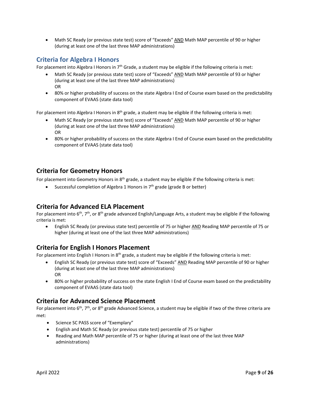• Math SC Ready (or previous state test) score of "Exceeds" AND Math MAP percentile of 90 or higher (during at least one of the last three MAP administrations)

#### <span id="page-8-0"></span>**Criteria for Algebra I Honors**

For placement into Algebra I Honors in  $7<sup>th</sup>$  Grade, a student may be eligible if the following criteria is met:

- Math SC Ready (or previous state test) score of "Exceeds" AND Math MAP percentile of 93 or higher (during at least one of the last three MAP administrations) OR
- 80% or higher probability of success on the state Algebra I End of Course exam based on the predictability component of EVAAS (state data tool)

For placement into Algebra I Honors in  $8<sup>th</sup>$  grade, a student may be eligible if the following criteria is met:

- Math SC Ready (or previous state test) score of "Exceeds" AND Math MAP percentile of 90 or higher (during at least one of the last three MAP administrations) OR
- 80% or higher probability of success on the state Algebra I End of Course exam based on the predictability component of EVAAS (state data tool)

#### <span id="page-8-1"></span>**Criteria for Geometry Honors**

For placement into Geometry Honors in  $8<sup>th</sup>$  grade, a student may be eligible if the following criteria is met:

• Successful completion of Algebra 1 Honors in  $7<sup>th</sup>$  grade (grade B or better)

#### <span id="page-8-2"></span>**Criteria for Advanced ELA Placement**

For placement into  $6<sup>th</sup>$ ,  $7<sup>th</sup>$ , or  $8<sup>th</sup>$  grade advanced English/Language Arts, a student may be eligible if the following criteria is met:

• English SC Ready (or previous state test) percentile of 75 or higher AND Reading MAP percentile of 75 or higher (during at least one of the last three MAP administrations)

#### <span id="page-8-3"></span>**Criteria for English I Honors Placement**

For placement into English I Honors in  $8<sup>th</sup>$  grade, a student may be eligible if the following criteria is met:

- English SC Ready (or previous state test) score of "Exceeds" AND Reading MAP percentile of 90 or higher (during at least one of the last three MAP administrations) OR
- 80% or higher probability of success on the state English I End of Course exam based on the predictability component of EVAAS (state data tool)

#### <span id="page-8-4"></span>**Criteria for Advanced Science Placement**

For placement into  $6<sup>th</sup>$ ,  $7<sup>th</sup>$ , or  $8<sup>th</sup>$  grade Advanced Science, a student may be eligible if two of the three criteria are met:

- Science SC PASS score of "Exemplary"
- English and Math SC Ready (or previous state test) percentile of 75 or higher
- Reading and Math MAP percentile of 75 or higher (during at least one of the last three MAP administrations)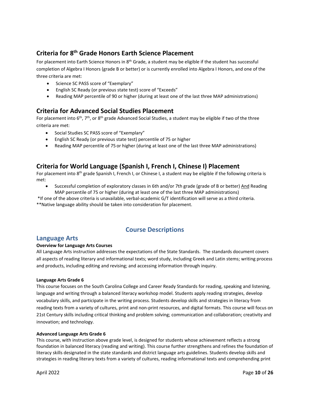## **Criteria for 8th Grade Honors Earth Science Placement**

For placement into Earth Science Honors in 8<sup>th</sup> Grade, a student may be eligible if the student has successful completion of Algebra I Honors (grade B or better) or is currently enrolled into Algebra I Honors, and one of the three criteria are met:

- Science SC PASS score of "Exemplary"
- English SC Ready (or previous state test) score of "Exceeds"
- Reading MAP percentile of 90 or higher (during at least one of the last three MAP administrations)

#### <span id="page-9-0"></span>**Criteria for Advanced Social Studies Placement**

For placement into  $6th$ ,  $7th$ , or  $8th$  grade Advanced Social Studies, a student may be eligible if two of the three criteria are met:

- Social Studies SC PASS score of "Exemplary"
- English SC Ready (or previous state test) percentile of 75 or higher
- Reading MAP percentile of 75 or higher (during at least one of the last three MAP administrations)

#### <span id="page-9-1"></span>**Criteria for World Language (Spanish I, French I, Chinese I) Placement**

For placement into 8<sup>th</sup> grade Spanish I, French I, or Chinese I, a student may be eligible if the following criteria is met:

Successful completion of exploratory classes in 6th and/or 7th grade (grade of B or better) And Reading MAP percentile of 75 or higher (during at least one of the last three MAP administrations)

\*If one of the above criteria is unavailable, verbal-academic G/T identification will serve as a third criteria. \*\*Native language ability should be taken into consideration for placement.

#### **Course Descriptions**

#### <span id="page-9-3"></span><span id="page-9-2"></span>**Language Arts**

#### **Overview for Language Arts Courses**

All Language Arts instruction addresses the expectations of the State Standards. The standards document covers all aspects of reading literary and informational texts; word study, including Greek and Latin stems; writing process and products, including editing and revising; and accessing information through inquiry.

#### **Language Arts Grade 6**

This course focuses on the South Carolina College and Career Ready Standards for reading, speaking and listening, language and writing through a balanced literacy workshop model. Students apply reading strategies, develop vocabulary skills, and participate in the writing process. Students develop skills and strategies in literacy from reading texts from a variety of cultures, print and non-print resources, and digital formats. This course will focus on 21st Century skills including critical thinking and problem solving; communication and collaboration; creativity and innovation; and technology.

#### **Advanced Language Arts Grade 6**

This course, with instruction above grade level, is designed for students whose achievement reflects a strong foundation in balanced literacy (reading and writing). This course further strengthens and refines the foundation of literacy skills designated in the state standards and district language arts guidelines. Students develop skills and strategies in reading literary texts from a variety of cultures, reading informational texts and comprehending print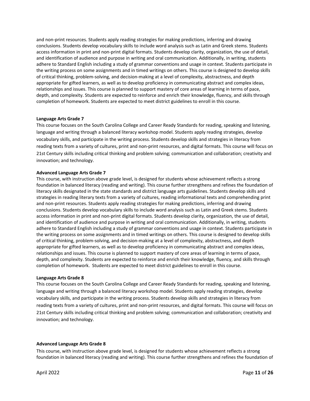and non-print resources. Students apply reading strategies for making predictions, inferring and drawing conclusions. Students develop vocabulary skills to include word analysis such as Latin and Greek stems. Students access information in print and non-print digital formats. Students develop clarity, organization, the use of detail, and identification of audience and purpose in writing and oral communication. Additionally, in writing, students adhere to Standard English including a study of grammar conventions and usage in context. Students participate in the writing process on some assignments and in timed writings on others. This course is designed to develop skills of critical thinking, problem-solving, and decision-making at a level of complexity, abstractness, and depth appropriate for gifted learners, as well as to develop proficiency in communicating abstract and complex ideas, relationships and issues. This course is planned to support mastery of core areas of learning in terms of pace, depth, and complexity. Students are expected to reinforce and enrich their knowledge, fluency, and skills through completion of homework. Students are expected to meet district guidelines to enroll in this course.

#### **Language Arts Grade 7**

This course focuses on the South Carolina College and Career Ready Standards for reading, speaking and listening, language and writing through a balanced literacy workshop model. Students apply reading strategies, develop vocabulary skills, and participate in the writing process. Students develop skills and strategies in literacy from reading texts from a variety of cultures, print and non-print resources, and digital formats. This course will focus on 21st Century skills including critical thinking and problem solving; communication and collaboration; creativity and innovation; and technology.

#### **Advanced Language Arts Grade 7**

This course, with instruction above grade level, is designed for students whose achievement reflects a strong foundation in balanced literacy (reading and writing). This course further strengthens and refines the foundation of literacy skills designated in the state standards and district language arts guidelines. Students develop skills and strategies in reading literary texts from a variety of cultures, reading informational texts and comprehending print and non-print resources. Students apply reading strategies for making predictions, inferring and drawing conclusions. Students develop vocabulary skills to include word analysis such as Latin and Greek stems. Students access information in print and non-print digital formats. Students develop clarity, organization, the use of detail, and identification of audience and purpose in writing and oral communication. Additionally, in writing, students adhere to Standard English including a study of grammar conventions and usage in context. Students participate in the writing process on some assignments and in timed writings on others. This course is designed to develop skills of critical thinking, problem-solving, and decision-making at a level of complexity, abstractness, and depth appropriate for gifted learners, as well as to develop proficiency in communicating abstract and complex ideas, relationships and issues. This course is planned to support mastery of core areas of learning in terms of pace, depth, and complexity. Students are expected to reinforce and enrich their knowledge, fluency, and skills through completion of homework. Students are expected to meet district guidelines to enroll in this course.

#### **Language Arts Grade 8**

This course focuses on the South Carolina College and Career Ready Standards for reading, speaking and listening, language and writing through a balanced literacy workshop model. Students apply reading strategies, develop vocabulary skills, and participate in the writing process. Students develop skills and strategies in literacy from reading texts from a variety of cultures, print and non-print resources, and digital formats. This course will focus on 21st Century skills including critical thinking and problem solving; communication and collaboration; creativity and innovation; and technology.

#### **Advanced Language Arts Grade 8**

This course, with instruction above grade level, is designed for students whose achievement reflects a strong foundation in balanced literacy (reading and writing). This course further strengthens and refines the foundation of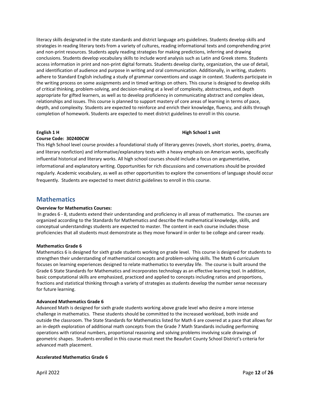literacy skills designated in the state standards and district language arts guidelines. Students develop skills and strategies in reading literary texts from a variety of cultures, reading informational texts and comprehending print and non-print resources. Students apply reading strategies for making predictions, inferring and drawing conclusions. Students develop vocabulary skills to include word analysis such as Latin and Greek stems. Students access information in print and non-print digital formats. Students develop clarity, organization, the use of detail, and identification of audience and purpose in writing and oral communication. Additionally, in writing, students adhere to Standard English including a study of grammar conventions and usage in context. Students participate in the writing process on some assignments and in timed writings on others. This course is designed to develop skills of critical thinking, problem-solving, and decision-making at a level of complexity, abstractness, and depth appropriate for gifted learners, as well as to develop proficiency in communicating abstract and complex ideas, relationships and issues. This course is planned to support mastery of core areas of learning in terms of pace, depth, and complexity. Students are expected to reinforce and enrich their knowledge, fluency, and skills through completion of homework. Students are expected to meet district guidelines to enroll in this course.

#### **English 1 H High School 1 unit**

#### **Course Code: 302400CW**

This High School level course provides a foundational study of literary genres (novels, short stories, poetry, drama, and literary nonfiction) and informative/explanatory texts with a heavy emphasis on American works, specifically influential historical and literary works. All high school courses should include a focus on argumentative, informational and explanatory writing. Opportunities for rich discussions and conversations should be provided regularly. Academic vocabulary, as well as other opportunities to explore the conventions of language should occur frequently. Students are expected to meet district guidelines to enroll in this course.

#### <span id="page-11-0"></span>**Mathematics**

#### **Overview for Mathematics Courses:**

In grades 6 - 8, students extend their understanding and proficiency in all areas of mathematics. The courses are organized according to the Standards for Mathematics and describe the mathematical knowledge, skills, and conceptual understandings students are expected to master. The content in each course includes those proficiencies that all students must demonstrate as they move forward in order to be college and career ready.

#### **Mathematics Grade 6**

Mathematics 6 is designed for sixth grade students working on grade level. This course is designed for students to strengthen their understanding of mathematical concepts and problem-solving skills. The Math 6 curriculum focuses on learning experiences designed to relate mathematics to everyday life. The course is built around the Grade 6 State Standards for Mathematics and incorporates technology as an effective learning tool. In addition, basic computational skills are emphasized, practiced and applied to concepts including ratios and proportions, fractions and statistical thinking through a variety of strategies as students develop the number sense necessary for future learning.

#### **Advanced Mathematics Grade 6**

Advanced Math is designed for sixth grade students working above grade level who desire a more intense challenge in mathematics. These students should be committed to the increased workload, both inside and outside the classroom. The State Standards for Mathematics listed for Math 6 are covered at a pace that allows for an in-depth exploration of additional math concepts from the Grade 7 Math Standards including performing operations with rational numbers, proportional reasoning and solving problems involving scale drawings of geometric shapes. Students enrolled in this course must meet the Beaufort County School District's criteria for advanced math placement.

#### **Accelerated Mathematics Grade 6**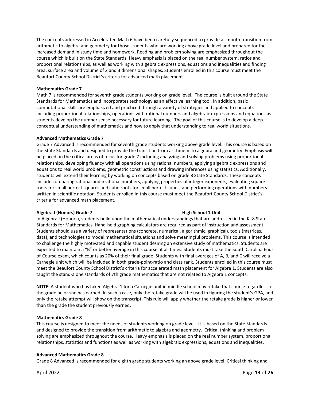The concepts addressed in Accelerated Math 6 have been carefully sequenced to provide a smooth transition from arithmetic to algebra and geometry for those students who are working above grade level and prepared for the increased demand in study time and homework. Reading and problem solving are emphasized throughout the course which is built on the State Standards. Heavy emphasis is placed on the real number system, ratios and proportional relationships, as well as working with algebraic expressions, equations and inequalities and finding area, surface area and volume of 2 and 3 dimensional shapes. Students enrolled in this course must meet the Beaufort County School District's criteria for advanced math placement.

#### **Mathematics Grade 7**

Math 7 is recommended for seventh grade students working on grade level. The course is built around the State Standards for Mathematics and incorporates technology as an effective learning tool. In addition, basic computational skills are emphasized and practiced through a variety of strategies and applied to concepts including proportional relationships, operations with rational numbers and algebraic expressions and equations as students develop the number sense necessary for future learning. The goal of this course is to develop a deep conceptual understanding of mathematics and how to apply that understanding to real world situations.

#### **Advanced Mathematics Grade 7**

Grade 7 Advanced is recommended for seventh grade students working above grade level. This course is based on the State Standards and designed to provide the transition from arithmetic to algebra and geometry. Emphasis will be placed on the critical areas of focus for grade 7 including analyzing and solving problems using proportional relationships, developing fluency with all operations using rational numbers, applying algebraic expressions and equations to real world problems, geometric constructions and drawing inferences using statistics. Additionally, students will extend their learning by working on concepts based on grade 8 State Standards. These concepts include comparing rational and irrational numbers, applying properties of integer exponents, evaluating square roots for small perfect squares and cube roots for small perfect cubes, and performing operations with numbers written in scientific notation. Students enrolled in this course must meet the Beaufort County School District's criteria for advanced math placement.

#### **Algebra I (Honors) Grade 7 High School 1 Unit**

In Algebra I (Honors), students build upon the mathematical understandings that are addressed in the K- 8 State Standards for Mathematics. Hand-held graphing calculators are required as part of instruction and assessment. Students should use a variety of representations (concrete, numerical, algorithmic, graphical), tools (matrices, data), and technologies to model mathematical situations and solve meaningful problems. This course is intended to challenge the highly motivated and capable student desiring an extensive study of mathematics. Students are expected to maintain a "B" or better average in this course at all times. Students must take the South Carolina Endof-Course exam, which counts as 20% of their final grade. Students with final averages of A, B, and C will receive a Carnegie unit which will be included in both grade-point-ratio and class rank. Students enrolled in this course must meet the Beaufort County School District's criteria for accelerated math placement for Algebra 1. Students are also taught the stand-alone standards of 7th grade mathematics that are not related to Algebra 1 concepts.

**NOTE:** A student who has taken Algebra 1 for a Carnegie unit in middle school may retake that course regardless of the grade he or she has earned. In such a case, only the retake grade will be used in figuring the student's GPA, and only the retake attempt will show on the transcript. This rule will apply whether the retake grade is higher or lower than the grade the student previously earned.

#### **Mathematics Grade 8**

This course is designed to meet the needs of students working on grade level. It is based on the State Standards and designed to provide the transition from arithmetic to algebra and geometry. Critical thinking and problem solving are emphasized throughout the course. Heavy emphasis is placed on the real number system, proportional relationships, statistics and functions as well as working with algebraic expressions, equations and inequalities.

#### **Advanced Mathematics Grade 8**

Grade 8 Advanced is recommended for eighth grade students working an above grade level. Critical thinking and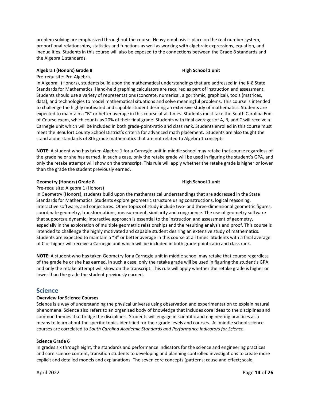problem solving are emphasized throughout the course. Heavy emphasis is place on the real number system, proportional relationships, statistics and functions as well as working with algebraic expressions, equation, and inequalities. Students in this course will also be exposed to the connections between the Grade 8 standards and the Algebra 1 standards.

#### **Algebra I (Honors) Grade 8 https://www.fragebrain.com/information intervalsed in the High School 1 unit**

Pre-requisite: Pre-Algebra.

In Algebra I (Honors), students build upon the mathematical understandings that are addressed in the K-8 State Standards for Mathematics. Hand-held graphing calculators are required as part of instruction and assessment. Students should use a variety of representations (concrete, numerical, algorithmic, graphical), tools (matrices, data), and technologies to model mathematical situations and solve meaningful problems. This course is intended to challenge the highly motivated and capable student desiring an extensive study of mathematics. Students are expected to maintain a "B" or better average in this course at all times. Students must take the South Carolina Endof-Course exam, which counts as 20% of their final grade. Students with final averages of A, B, and C will receive a Carnegie unit which will be included in both grade-point-ratio and class rank. Students enrolled in this course must meet the Beaufort County School District's criteria for advanced math placement. Students are also taught the stand alone standards of 8th grade mathematics that are not related to Algebra 1 concepts.

**NOTE:** A student who has taken Algebra 1 for a Carnegie unit in middle school may retake that course regardless of the grade he or she has earned. In such a case, only the retake grade will be used in figuring the student's GPA, and only the retake attempt will show on the transcript. This rule will apply whether the retake grade is higher or lower than the grade the student previously earned.

#### **Geometry (Honors) Grade 8 https://www.frage.org/community community of the School 1 unit**

Pre-requisite: Algebra 1 (Honors)

In Geometry (Honors), students build upon the mathematical understandings that are addressed in the State Standards for Mathematics. Students explore geometric structure using constructions, logical reasoning, interactive software, and conjectures. Other topics of study include two- and three-dimensional geometric figures, coordinate geometry, transformations, measurement, similarity and congruence. The use of geometry software that supports a dynamic, interactive approach is essential to the instruction and assessment of geometry, especially in the exploration of multiple geometric relationships and the resulting analysis and proof. This course is intended to challenge the highly motivated and capable student desiring an extensive study of mathematics. Students are expected to maintain a "B" or better average in this course at all times. Students with a final average of C or higher will receive a Carnegie unit which will be included in both grade-point-ratio and class rank.

**NOTE:** A student who has taken Geometry for a Carnegie unit in middle school may retake that course regardless of the grade he or she has earned. In such a case, only the retake grade will be used in figuring the student's GPA, and only the retake attempt will show on the transcript. This rule will apply whether the retake grade is higher or lower than the grade the student previously earned.

#### <span id="page-13-0"></span>**Science**

#### **Overview for Science Courses**

Science is a way of understanding the physical universe using observation and experimentation to explain natural phenomena. Science also refers to an organized body of knowledge that includes core ideas to the disciplines and common themes that bridge the disciplines. Students will engage in scientific and engineering practices as a means to learn about the specific topics identified for their grade levels and courses. All middle school science courses are correlated to *South Carolina Academic Standards and Performance Indicators for Science*.

#### **Science Grade 6**

In grades six through eight, the standards and performance indicators for the science and engineering practices and core science content, transition students to developing and planning controlled investigations to create more explicit and detailed models and explanations. The seven core concepts (patterns; cause and effect; scale,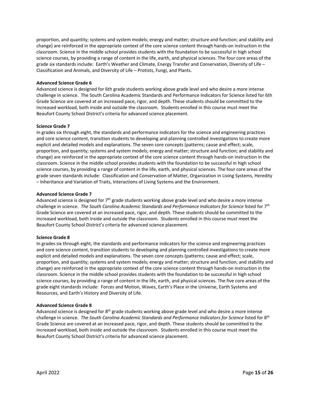proportion, and quantity; systems and system models; energy and matter; structure and function; and stability and change) are reinforced in the appropriate context of the core science content through hands-on instruction in the classroom. Science in the middle school provides students with the foundation to be successful in high school science courses, by providing a range of content in the life, earth, and physical sciences. The four core areas of the grade six standards include: Earth's Weather and Climate, Energy Transfer and Conservation, Diversity of Life – Classification and Animals, and Diversity of Life – Protists, Fungi, and Plants.

#### **Advanced Science Grade 6**

Advanced science is designed for 6th grade students working above grade level and who desire a more intense challenge in science. The South Carolina Academic Standards and Performance Indicators for Science listed for 6th Grade Science are covered at an increased pace, rigor, and depth. These students should be committed to the increased workload, both inside and outside the classroom. Students enrolled in this course must meet the Beaufort County School District's criteria for advanced science placement.

#### **Science Grade 7**

In grades six through eight, the standards and performance indicators for the science and engineering practices and core science content, transition students to developing and planning controlled investigations to create more explicit and detailed models and explanations. The seven core concepts (patterns; cause and effect; scale, proportion, and quantity; systems and system models; energy and matter; structure and function; and stability and change) are reinforced in the appropriate context of the core science content through hands-on instruction in the classroom. Science in the middle school provides students with the foundation to be successful in high school science courses, by providing a range of content in the life, earth, and physical sciences. The four core areas of the grade seven standards include: Classification and Conservation of Matter, Organization in Living Systems, Heredity – Inheritance and Variation of Traits, Interactions of Living Systems and the Environment.

#### **Advanced Science Grade 7**

Advanced science is designed for  $7<sup>th</sup>$  grade students working above grade level and who desire a more intense challenge in science. *The South Carolina Academic Standards and Performance Indicators for Science* listed for 7th Grade Science are covered at an increased pace, rigor, and depth. These students should be committed to the increased workload, both inside and outside the classroom. Students enrolled in this course must meet the Beaufort County School District's criteria for advanced science placement.

#### **Science Grade 8**

In grades six through eight, the standards and performance indicators for the science and engineering practices and core science content, transition students to developing and planning controlled investigations to create more explicit and detailed models and explanations. The seven core concepts (patterns; cause and effect; scale, proportion, and quantity; systems and system models; energy and matter; structure and function; and stability and change) are reinforced in the appropriate context of the core science content through hands-on instruction in the classroom. Science in the middle school provides students with the foundation to be successful in high school science courses, by providing a range of content in the life, earth, and physical sciences. The five core areas of the grade eight standards include: Forces and Motion, Waves, Earth's Place in the Universe, Earth Systems and Resources, and Earth's History and Diversity of Life.

#### **Advanced Science Grade 8**

Advanced science is designed for  $8<sup>th</sup>$  grade students working above grade level and who desire a more intense challenge in science. The South Carolina Academic Standards and Performance Indicators for Science listed for 8<sup>th</sup> Grade Science are covered at an increased pace, rigor, and depth. These students should be committed to the increased workload, both inside and outside the classroom. Students enrolled in this course must meet the Beaufort County School District's criteria for advanced science placement.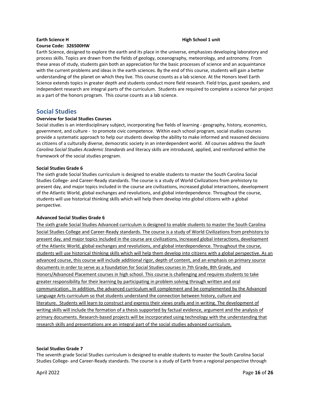## **Earth Science H High School 1 unit**

#### **Course Code: 326500HW**

Earth Science, designed to explore the earth and its place in the universe, emphasizes developing laboratory and process skills. Topics are drawn from the fields of geology, oceanography, meteorology, and astronomy. From these areas of study, students gain both an appreciation for the basic processes of science and an acquaintance with the current problems and ideas in the earth sciences. By the end of this course, students will gain a better understanding of the planet on which they live. This course counts as a lab science. At the Honors level Earth Science extends topics in greater depth and students conduct more field research. Field trips, guest speakers, and independent research are integral parts of the curriculum. Students are required to complete a science fair project as a part of the honors program. This course counts as a lab science.

# <span id="page-15-0"></span>**Social Studies<br>
Overview for Social Studies Courses**

Social studies is an interdisciplinary subject, incorporating five fields of learning - geography, history, economics, government, and culture - to promote civic competence. Within each school program, social studies courses provide a systematic approach to help our students develop the ability to make informed and reasoned decisions as citizens of a culturally diverse, democratic society in an interdependent world. All courses address the *South Carolina Social Studies Academic Standards* and literacy skills are introduced, applied, and reinforced within the framework of the social studies program.

#### **Social Studies Grade 6**

The sixth grade Social Studies curriculum is designed to enable students to master the South Carolina Social Studies College- and Career-Ready standards. The course is a study of World Civilizations from prehistory to present day, and major topics included in the course are civilizations, increased global interactions, development of the Atlantic World, global exchanges and revolutions, and global interdependence. Throughout the course, students will use historical thinking skills which will help them develop into global citizens with a global perspective.

#### **Advanced Social Studies Grade 6**

The sixth grade Social Studies Advanced curriculum is designed to enable students to master the South Carolina Social Studies College and Career-Ready standards. The course is a study of World Civilizations from prehistory to present day, and major topics included in the course are civilizations, increased global interactions, development of the Atlantic World, global exchanges and revolutions, and global interdependence. Throughout the course, students will use historical thinking skills which will help them develop into citizens with a global perspective. As an advanced course, this course will include additional rigor, depth of content, and an emphasis on primary source documents in order to serve as a foundation for Social Studies courses in 7th Grade, 8th Grade, and Honors/Advanced Placement courses in high school. This course is challenging and requires students to take greater responsibility for their learning by participating in problem solving through written and oral communication.. In addition, the advanced curriculum will complement and be complemented by the Advanced Language Arts curriculum so that students understand the connection between history, culture and literature. Students will learn to construct and express their views orally and in writing. The development of writing skills will include the formation of a thesis supported by factual evidence, argument and the analysis of primary documents. Research-based projects will be incorporated using technology with the understanding that research skills and presentations are an integral part of the social studies advanced curriculum.

#### **Social Studies Grade 7**

The seventh grade Social Studies curriculum is designed to enable students to master the South Carolina Social Studies College- and Career-Ready standards. The course is a study of Earth from a regional perspective through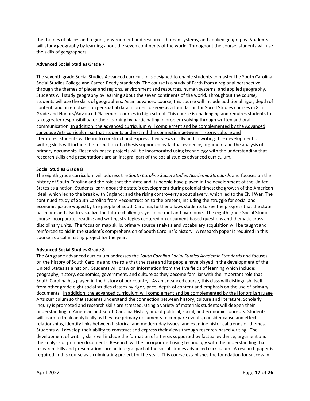the themes of places and regions, environment and resources, human systems, and applied geography. Students will study geography by learning about the seven continents of the world. Throughout the course, students will use the skills of geographers.

#### **Advanced Social Studies Grade 7**

The seventh grade Social Studies Advanced curriculum is designed to enable students to master the South Carolina Social Studies College and Career-Ready standards. The course is a study of Earth from a regional perspective through the themes of places and regions, environment and resources, human systems, and applied geography. Students will study geography by learning about the seven continents of the world. Throughout the course, students will use the skills of geographers. As an advanced course, this course will include additional rigor, depth of content, and an emphasis on geospatial data in order to serve as a foundation for Social Studies courses in 8th Grade and Honors/Advanced Placement courses in high school. This course is challenging and requires students to take greater responsibility for their learning by participating in problem solving through written and oral communication. In addition, the advanced curriculum will complement and be complemented by the Advanced Language Arts curriculum so that students understand the connection between history, culture and literature. Students will learn to construct and express their views orally and in writing. The development of writing skills will include the formation of a thesis supported by factual evidence, argument and the analysis of primary documents. Research-based projects will be incorporated using technology with the understanding that research skills and presentations are an integral part of the social studies advanced curriculum**.** 

#### **Social Studies Grade 8**

The eighth grade curriculum will address the *South Carolina Social Studies Academic Standards* and focuses on the history of South Carolina and the role that the state and its people have played in the development of the United States as a nation. Students learn about the state's development during colonial times; the growth of the American ideal, which led to the break with England; and the rising controversy about slavery, which led to the Civil War. The continued study of South Carolina from Reconstruction to the present, including the struggle for social and economic justice waged by the people of South Carolina, further allows students to see the progress that the state has made and also to visualize the future challenges yet to be met and overcome. The eighth grade Social Studies course incorporates reading and writing strategies centered on document-based questions and thematic crossdisciplinary units. The focus on map skills, primary source analysis and vocabulary acquisition will be taught and reinforced to aid in the student's comprehension of South Carolina's history. A research paper is required in this course as a culminating project for the year.

#### **Advanced Social Studies Grade 8**

The 8th grade advanced curriculum addresses the *South Carolina Social Studies Academic Standards* and focuses on the history of South Carolina and the role that the state and its people have played in the development of the United States as a nation. Students will draw on information from the five fields of learning which include: geography, history, economics, government, and culture as they become familiar with the important role that South Carolina has played in the history of our country. As an advanced course, this class will distinguish itself from other grade eight social studies classes by rigor, pace, depth of content and emphasis on the use of primary documents. In addition, the advanced curriculum will complement and be complemented by the Honors Language Arts curriculum so that students understand the connection between history, culture and literature. Scholarly inquiry is promoted and research skills are stressed. Using a variety of materials students will deepen their understanding of American and South Carolina History and of political, social, and economic concepts. Students will learn to think analytically as they use primary documents to compare events, consider cause and effect relationships, identify links between historical and modern-day issues, and examine historical trends or themes. Students will develop their ability to construct and express their views through research-based writing. The development of writing skills will include the formation of a thesis supported by factual evidence, argument and the analysis of primary documents. Research will be incorporated using technology with the understanding that research skills and presentations are an integral part of the social studies advanced curriculum. A research paper is required in this course as a culminating project for the year. This course establishes the foundation for success in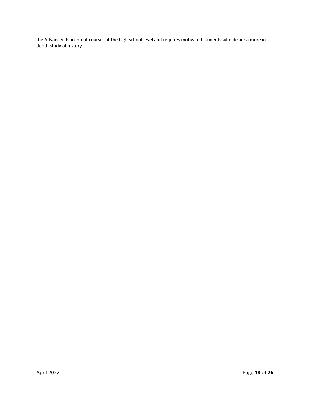the Advanced Placement courses at the high school level and requires motivated students who desire a more indepth study of history.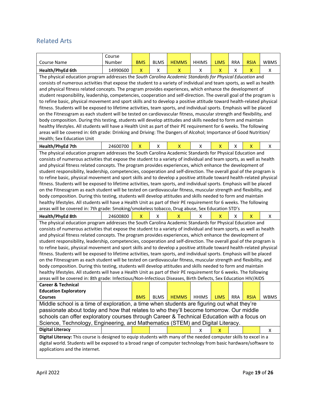## <span id="page-18-0"></span>Related Arts

|                                                                                                                                                                                                                                               | Course                                                                                                                |                    |                    |                    |              |                    |            |             |             |
|-----------------------------------------------------------------------------------------------------------------------------------------------------------------------------------------------------------------------------------------------|-----------------------------------------------------------------------------------------------------------------------|--------------------|--------------------|--------------------|--------------|--------------------|------------|-------------|-------------|
| <b>Course Name</b>                                                                                                                                                                                                                            | Number                                                                                                                | <b>BMS</b>         | <b>BLMS</b>        | <b>HEMMS</b>       | <b>HHIMS</b> | <b>LIMS</b>        | <b>RRA</b> | <b>RSIA</b> | <b>WBMS</b> |
| Health/PhyEd 6th                                                                                                                                                                                                                              | 14990600                                                                                                              | $\pmb{\mathsf{X}}$ | X                  | $\pmb{\mathsf{X}}$ | X            | $\pmb{\mathsf{X}}$ | X          | X           | X           |
| The physical education program addresses the South Carolina Academic Standards for Physical Education and                                                                                                                                     |                                                                                                                       |                    |                    |                    |              |                    |            |             |             |
|                                                                                                                                                                                                                                               | consists of numerous activities that expose the student to a variety of individual and team sports, as well as health |                    |                    |                    |              |                    |            |             |             |
| and physical fitness related concepts. The program provides experiences, which enhance the development of                                                                                                                                     |                                                                                                                       |                    |                    |                    |              |                    |            |             |             |
| student responsibility, leadership, competencies, cooperation and self-direction. The overall goal of the program is                                                                                                                          |                                                                                                                       |                    |                    |                    |              |                    |            |             |             |
| to refine basic, physical movement and sport skills and to develop a positive attitude toward health-related physical                                                                                                                         |                                                                                                                       |                    |                    |                    |              |                    |            |             |             |
| fitness. Students will be exposed to lifetime activities, team sports, and individual sports. Emphasis will be placed                                                                                                                         |                                                                                                                       |                    |                    |                    |              |                    |            |             |             |
| on the Fitnessgram as each student will be tested on cardiovascular fitness, muscular strength and flexibility, and                                                                                                                           |                                                                                                                       |                    |                    |                    |              |                    |            |             |             |
| body composition. During this testing, students will develop attitudes and skills needed to form and maintain                                                                                                                                 |                                                                                                                       |                    |                    |                    |              |                    |            |             |             |
| healthy lifestyles. All students will have a Health Unit as part of their PE requirement for 6 weeks. The following                                                                                                                           |                                                                                                                       |                    |                    |                    |              |                    |            |             |             |
| areas will be covered in: 6th grade: Drinking and Driving: The Dangers of Alcohol; Importance of Good Nutrition/                                                                                                                              |                                                                                                                       |                    |                    |                    |              |                    |            |             |             |
| Health; Sex Education Unit                                                                                                                                                                                                                    |                                                                                                                       |                    |                    |                    |              |                    |            |             |             |
| Health/PhyEd 7th                                                                                                                                                                                                                              | 24600700                                                                                                              | $\mathsf{X}$       | $\pmb{\mathsf{X}}$ | $\mathsf{X}$       | Χ            | $\mathsf{X}$       | Χ          | X           | Χ           |
| The physical education program addresses the South Carolina Academic Standards for Physical Education and                                                                                                                                     |                                                                                                                       |                    |                    |                    |              |                    |            |             |             |
| consists of numerous activities that expose the student to a variety of individual and team sports, as well as health                                                                                                                         |                                                                                                                       |                    |                    |                    |              |                    |            |             |             |
| and physical fitness related concepts. The program provides experiences, which enhance the development of                                                                                                                                     |                                                                                                                       |                    |                    |                    |              |                    |            |             |             |
| student responsibility, leadership, competencies, cooperation and self-direction. The overall goal of the program is<br>to refine basic, physical movement and sport skills and to develop a positive attitude toward health-related physical |                                                                                                                       |                    |                    |                    |              |                    |            |             |             |
| fitness. Students will be exposed to lifetime activities, team sports, and individual sports. Emphasis will be placed                                                                                                                         |                                                                                                                       |                    |                    |                    |              |                    |            |             |             |
| on the Fitnessgram as each student will be tested on cardiovascular fitness, muscular strength and flexibility, and                                                                                                                           |                                                                                                                       |                    |                    |                    |              |                    |            |             |             |
|                                                                                                                                                                                                                                               |                                                                                                                       |                    |                    |                    |              |                    |            |             |             |
| body composition. During this testing, students will develop attitudes and skills needed to form and maintain<br>healthy lifestyles. All students will have a Health Unit as part of their PE requirement for 6 weeks. The following          |                                                                                                                       |                    |                    |                    |              |                    |            |             |             |
|                                                                                                                                                                                                                                               | areas will be covered in: 7th grade: Smoking/smokeless tobacco, Drug abuse, Sex Education STD's                       |                    |                    |                    |              |                    |            |             |             |
| Health/PhyEd 8th                                                                                                                                                                                                                              | 24600800                                                                                                              | $\mathsf{X}$       | X                  | $\mathsf{X}$       | Χ            | X                  | X          | X           | Χ           |
| The physical education program addresses the South Carolina Academic Standards for Physical Education and                                                                                                                                     |                                                                                                                       |                    |                    |                    |              |                    |            |             |             |
| consists of numerous activities that expose the student to a variety of individual and team sports, as well as health                                                                                                                         |                                                                                                                       |                    |                    |                    |              |                    |            |             |             |
| and physical fitness related concepts. The program provides experiences, which enhance the development of                                                                                                                                     |                                                                                                                       |                    |                    |                    |              |                    |            |             |             |
| student responsibility, leadership, competencies, cooperation and self-direction. The overall goal of the program is                                                                                                                          |                                                                                                                       |                    |                    |                    |              |                    |            |             |             |
| to refine basic, physical movement and sport skills and to develop a positive attitude toward health-related physical                                                                                                                         |                                                                                                                       |                    |                    |                    |              |                    |            |             |             |
| fitness. Students will be exposed to lifetime activities, team sports, and individual sports. Emphasis will be placed                                                                                                                         |                                                                                                                       |                    |                    |                    |              |                    |            |             |             |
| on the Fitnessgram as each student will be tested on cardiovascular fitness, muscular strength and flexibility, and                                                                                                                           |                                                                                                                       |                    |                    |                    |              |                    |            |             |             |
| body composition. During this testing, students will develop attitudes and skills needed to form and maintain                                                                                                                                 |                                                                                                                       |                    |                    |                    |              |                    |            |             |             |
| healthy lifestyles. All students will have a Health Unit as part of their PE requirement for 6 weeks. The following                                                                                                                           |                                                                                                                       |                    |                    |                    |              |                    |            |             |             |
| areas will be covered in: 8th grade: Infectious/Non-Infectious Diseases, Birth Defects, Sex Education HIV/AIDS                                                                                                                                |                                                                                                                       |                    |                    |                    |              |                    |            |             |             |
| <b>Career &amp; Technical</b>                                                                                                                                                                                                                 |                                                                                                                       |                    |                    |                    |              |                    |            |             |             |
| <b>Education Exploratory</b>                                                                                                                                                                                                                  |                                                                                                                       |                    |                    |                    |              |                    |            |             |             |
| <b>Courses</b>                                                                                                                                                                                                                                |                                                                                                                       | <b>BMS</b>         | <b>BLMS</b>        | <b>HEMMS</b>       | <b>HHIMS</b> | <b>LIMS</b>        | <b>RRA</b> | <b>RSIA</b> | <b>WBMS</b> |
| Middle school is a time of exploration, a time when students are figuring out what they're                                                                                                                                                    |                                                                                                                       |                    |                    |                    |              |                    |            |             |             |
| passionate about today and how that relates to who they'll become tomorrow. Our middle                                                                                                                                                        |                                                                                                                       |                    |                    |                    |              |                    |            |             |             |
| schools can offer exploratory courses through Career & Technical Education with a focus on                                                                                                                                                    |                                                                                                                       |                    |                    |                    |              |                    |            |             |             |
| Science, Technology, Engineering, and Mathematics (STEM) and Digital Literacy.                                                                                                                                                                |                                                                                                                       |                    |                    |                    |              |                    |            |             |             |
| <b>Digital Literacy</b>                                                                                                                                                                                                                       |                                                                                                                       |                    |                    |                    | х            | X                  |            |             | X           |
| Digital Literacy: This course is designed to equip students with many of the needed computer skills to excel in a                                                                                                                             |                                                                                                                       |                    |                    |                    |              |                    |            |             |             |
| digital world. Students will be exposed to a broad range of computer technology from basic hardware/software to                                                                                                                               |                                                                                                                       |                    |                    |                    |              |                    |            |             |             |
| applications and the internet.                                                                                                                                                                                                                |                                                                                                                       |                    |                    |                    |              |                    |            |             |             |
|                                                                                                                                                                                                                                               |                                                                                                                       |                    |                    |                    |              |                    |            |             |             |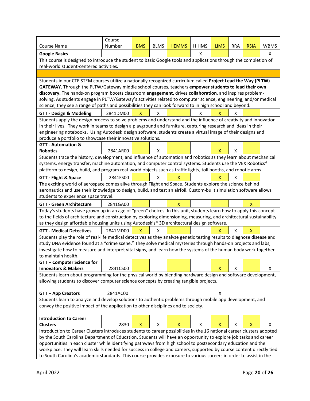|                                                                                                                                                                                                         | Course   |              |             |              |              |              |            |             |             |
|---------------------------------------------------------------------------------------------------------------------------------------------------------------------------------------------------------|----------|--------------|-------------|--------------|--------------|--------------|------------|-------------|-------------|
| <b>Course Name</b>                                                                                                                                                                                      | Number   | <b>BMS</b>   | <b>BLMS</b> | <b>HEMMS</b> | <b>HHIMS</b> | <b>LIMS</b>  | <b>RRA</b> | <b>RSIA</b> | <b>WBMS</b> |
| <b>Google Basics</b>                                                                                                                                                                                    |          |              |             |              | X            |              |            |             | x           |
| This course is designed to introduce the student to basic Google tools and applications through the completion of                                                                                       |          |              |             |              |              |              |            |             |             |
| real-world student-centered activities.                                                                                                                                                                 |          |              |             |              |              |              |            |             |             |
|                                                                                                                                                                                                         |          |              |             |              |              |              |            |             |             |
| Students in our CTE STEM courses utilize a nationally recognized curriculum called Project Lead the Way (PLTW)                                                                                          |          |              |             |              |              |              |            |             |             |
| GATEWAY. Through the PLTW/Gateway middle school courses, teachers empower students to lead their own                                                                                                    |          |              |             |              |              |              |            |             |             |
| discovery. The hands-on program boosts classroom engagement, drives collaboration, and inspires problem-                                                                                                |          |              |             |              |              |              |            |             |             |
| solving. As students engage in PLTW/Gateway's activities related to computer science, engineering, and/or medical                                                                                       |          |              |             |              |              |              |            |             |             |
| science, they see a range of paths and possibilities they can look forward to in high school and beyond.                                                                                                |          |              |             |              |              |              |            |             |             |
| <b>GTT - Design &amp; Modeling</b>                                                                                                                                                                      | 2841DM00 | $\mathsf{x}$ | X           |              | x            | x            | x          |             |             |
| Students apply the design process to solve problems and understand and the influence of creativity and innovation                                                                                       |          |              |             |              |              |              |            |             |             |
| in their lives. They work in teams to design a playground and furniture, capturing research and ideas in their                                                                                          |          |              |             |              |              |              |            |             |             |
| engineering notebooks. Using Autodesk design software, students create a virtual image of their designs and                                                                                             |          |              |             |              |              |              |            |             |             |
| produce a portfolio to showcase their innovative solutions.                                                                                                                                             |          |              |             |              |              |              |            |             |             |
| <b>GTT - Automation &amp;</b>                                                                                                                                                                           |          |              |             |              |              |              |            |             |             |
| <b>Robotics</b>                                                                                                                                                                                         | 2841AR00 |              | x           |              |              | x            | x          |             |             |
| Students trace the history, development, and influence of automation and robotics as they learn about mechanical                                                                                        |          |              |             |              |              |              |            |             |             |
| systems, energy transfer, machine automation, and computer control systems. Students use the VEX Robotics®                                                                                              |          |              |             |              |              |              |            |             |             |
| platform to design, build, and program real-world objects such as traffic lights, toll booths, and robotic arms.                                                                                        |          |              |             |              |              |              |            |             |             |
| <b>GTT - Flight &amp; Space</b>                                                                                                                                                                         | 2841FS00 |              | x           | X            |              | x            | x          |             |             |
| The exciting world of aerospace comes alive through Flight and Space. Students explore the science behind                                                                                               |          |              |             |              |              |              |            |             |             |
| aeronautics and use their knowledge to design, build, and test an airfoil. Custom-built simulation software allows                                                                                      |          |              |             |              |              |              |            |             |             |
| students to experience space travel.                                                                                                                                                                    |          |              |             |              |              |              |            |             |             |
| <b>GTT - Green Architecture</b>                                                                                                                                                                         | 2841GA00 |              |             | X            |              |              |            | X           |             |
| Today's students have grown up in an age of "green" choices. In this unit, students learn how to apply this concept                                                                                     |          |              |             |              |              |              |            |             |             |
| to the fields of architecture and construction by exploring dimensioning, measuring, and architectural sustainability                                                                                   |          |              |             |              |              |              |            |             |             |
| as they design affordable housing units using Autodesk's® 3D architectural design software.                                                                                                             |          |              |             |              |              |              |            |             |             |
| <b>GTT - Medical Detectives</b>                                                                                                                                                                         | 2841MD00 | х            | x           |              |              | X            | x          | х           |             |
| Students play the role of real-life medical detectives as they analyze genetic testing results to diagnose disease and                                                                                  |          |              |             |              |              |              |            |             |             |
| study DNA evidence found at a "crime scene." They solve medical mysteries through hands-on projects and labs,                                                                                           |          |              |             |              |              |              |            |             |             |
| investigate how to measure and interpret vital signs, and learn how the systems of the human body work together                                                                                         |          |              |             |              |              |              |            |             |             |
| to maintain health.                                                                                                                                                                                     |          |              |             |              |              |              |            |             |             |
| <b>GTT - Computer Science for</b>                                                                                                                                                                       |          |              |             |              |              |              |            |             |             |
| <b>Innovators &amp; Makers</b>                                                                                                                                                                          | 2841CS00 |              |             |              |              | $\mathsf{X}$ | Χ          |             | X           |
| Students learn about programming for the physical world by blending hardware design and software development,<br>allowing students to discover computer science concepts by creating tangible projects. |          |              |             |              |              |              |            |             |             |
|                                                                                                                                                                                                         |          |              |             |              |              |              |            |             |             |
| <b>GTT - App Creators</b>                                                                                                                                                                               | 2841AC00 |              |             |              |              | Χ            |            |             |             |
| Students learn to analyze and develop solutions to authentic problems through mobile app development, and                                                                                               |          |              |             |              |              |              |            |             |             |
| convey the positive impact of the application to other disciplines and to society.                                                                                                                      |          |              |             |              |              |              |            |             |             |
|                                                                                                                                                                                                         |          |              |             |              |              |              |            |             |             |
| <b>Introduction to Career</b>                                                                                                                                                                           |          |              |             |              |              |              |            |             |             |
| <b>Clusters</b>                                                                                                                                                                                         | 2830     | X            | х           | х            | х            | x            | х          | x           | X           |
| Introduction to Career Clusters introduces students to career possibilities in the 16 national career clusters adopted                                                                                  |          |              |             |              |              |              |            |             |             |
| by the South Carolina Department of Education. Students will have an opportunity to explore job tasks and career                                                                                        |          |              |             |              |              |              |            |             |             |
| opportunities in each cluster while identifying pathways from high school to postsecondary education and the                                                                                            |          |              |             |              |              |              |            |             |             |
| workplace. They will learn skills needed for success in college and careers, supported by course content directly tied                                                                                  |          |              |             |              |              |              |            |             |             |
| to South Carolina's academic standards. This course provides exposure to various careers in order to assist in the                                                                                      |          |              |             |              |              |              |            |             |             |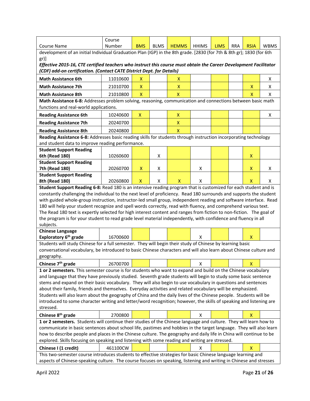| <b>Course Name</b>                                                                                                                                                                                                                     | Course<br>Number | <b>BMS</b>   | <b>BLMS</b> | <b>HEMMS</b>              | <b>HHIMS</b> | <b>LIMS</b> | <b>RRA</b> | <b>RSIA</b>                                                                                                                                                                                                                     | <b>WBMS</b> |  |  |  |  |  |
|----------------------------------------------------------------------------------------------------------------------------------------------------------------------------------------------------------------------------------------|------------------|--------------|-------------|---------------------------|--------------|-------------|------------|---------------------------------------------------------------------------------------------------------------------------------------------------------------------------------------------------------------------------------|-------------|--|--|--|--|--|
| development of an initial Individual Graduation Plan (IGP) in the 8th grade. [2830 (for 7th & 8th gr); 1830 (for 6th                                                                                                                   |                  |              |             |                           |              |             |            |                                                                                                                                                                                                                                 |             |  |  |  |  |  |
| $gr)$ ]                                                                                                                                                                                                                                |                  |              |             |                           |              |             |            |                                                                                                                                                                                                                                 |             |  |  |  |  |  |
| Effective 2015-16, CTE certified teachers who instruct this course must obtain the Career Development Facilitator                                                                                                                      |                  |              |             |                           |              |             |            |                                                                                                                                                                                                                                 |             |  |  |  |  |  |
| (CDF) add-on certification. (Contact CATE District Dept. for Details)                                                                                                                                                                  |                  |              |             |                           |              |             |            |                                                                                                                                                                                                                                 |             |  |  |  |  |  |
| <b>Math Assistance 6th</b>                                                                                                                                                                                                             | 11010600         | x            |             | x                         |              |             |            |                                                                                                                                                                                                                                 | X           |  |  |  |  |  |
| <b>Math Assistance 7th</b>                                                                                                                                                                                                             | 21010700         | X            |             | X                         |              |             |            | X                                                                                                                                                                                                                               | X           |  |  |  |  |  |
| <b>Math Assistance 8th</b>                                                                                                                                                                                                             | 21010800         | X            |             | $\boldsymbol{\mathsf{X}}$ |              |             |            | $\mathsf{x}$                                                                                                                                                                                                                    | X           |  |  |  |  |  |
| Math Assistance 6-8: Addresses problem solving, reasoning, communication and connections between basic math                                                                                                                            |                  |              |             |                           |              |             |            |                                                                                                                                                                                                                                 |             |  |  |  |  |  |
| functions and real-world applications.                                                                                                                                                                                                 |                  |              |             |                           |              |             |            |                                                                                                                                                                                                                                 |             |  |  |  |  |  |
| <b>Reading Assistance 6th</b>                                                                                                                                                                                                          | 10240600         | X            |             | X                         |              |             |            |                                                                                                                                                                                                                                 | х           |  |  |  |  |  |
| <b>Reading Assistance 7th</b>                                                                                                                                                                                                          | 20240700         |              |             | X                         |              |             |            |                                                                                                                                                                                                                                 |             |  |  |  |  |  |
|                                                                                                                                                                                                                                        |                  |              |             | $\boldsymbol{\mathsf{X}}$ |              |             |            |                                                                                                                                                                                                                                 |             |  |  |  |  |  |
| <b>Reading Assistance 8th</b><br>Reading Assistance 6-8: Addresses basic reading skills for students through instruction incorporating technology                                                                                      | 20240800         |              |             |                           |              |             |            |                                                                                                                                                                                                                                 |             |  |  |  |  |  |
| and student data to improve reading performance.                                                                                                                                                                                       |                  |              |             |                           |              |             |            |                                                                                                                                                                                                                                 |             |  |  |  |  |  |
| <b>Student Support Reading</b>                                                                                                                                                                                                         |                  |              |             |                           |              |             |            |                                                                                                                                                                                                                                 |             |  |  |  |  |  |
| 6th (Read 180)                                                                                                                                                                                                                         | 10260600         |              | X           |                           |              |             |            | X                                                                                                                                                                                                                               |             |  |  |  |  |  |
| <b>Student Support Reading</b>                                                                                                                                                                                                         |                  |              |             |                           |              |             |            |                                                                                                                                                                                                                                 |             |  |  |  |  |  |
| 7th (Read 180)                                                                                                                                                                                                                         | 20260700         | X            | Х           |                           | x            |             |            | X                                                                                                                                                                                                                               | X           |  |  |  |  |  |
| <b>Student Support Reading</b>                                                                                                                                                                                                         |                  |              |             |                           |              |             |            |                                                                                                                                                                                                                                 |             |  |  |  |  |  |
| 8th (Read 180)                                                                                                                                                                                                                         | 20260800         | $\mathsf{x}$ | X           | X                         | X            |             |            | X                                                                                                                                                                                                                               | X           |  |  |  |  |  |
| Student Support Reading 6-8: Read 180 is an intensive reading program that is customized for each student and is                                                                                                                       |                  |              |             |                           |              |             |            |                                                                                                                                                                                                                                 |             |  |  |  |  |  |
| constantly challenging the individual to the next level of proficiency. Read 180 surrounds and supports the student                                                                                                                    |                  |              |             |                           |              |             |            |                                                                                                                                                                                                                                 |             |  |  |  |  |  |
| with guided whole-group instruction, instructor-led small group, independent reading and software interface. Read                                                                                                                      |                  |              |             |                           |              |             |            |                                                                                                                                                                                                                                 |             |  |  |  |  |  |
| 180 will help your student recognize and spell words correctly, read with fluency, and comprehend various text.                                                                                                                        |                  |              |             |                           |              |             |            |                                                                                                                                                                                                                                 |             |  |  |  |  |  |
| The Read 180 text is expertly selected for high interest content and ranges from fiction to non-fiction. The goal of<br>the program is for your student to read grade level material independently, with confidence and fluency in all |                  |              |             |                           |              |             |            |                                                                                                                                                                                                                                 |             |  |  |  |  |  |
| subjects.                                                                                                                                                                                                                              |                  |              |             |                           |              |             |            |                                                                                                                                                                                                                                 |             |  |  |  |  |  |
| <b>Chinese Language</b>                                                                                                                                                                                                                |                  |              |             |                           |              |             |            |                                                                                                                                                                                                                                 |             |  |  |  |  |  |
| Exploratory 6 <sup>th</sup> grade                                                                                                                                                                                                      | 16700600         |              |             |                           | x            |             |            | X                                                                                                                                                                                                                               |             |  |  |  |  |  |
|                                                                                                                                                                                                                                        |                  |              |             |                           |              |             |            |                                                                                                                                                                                                                                 |             |  |  |  |  |  |
|                                                                                                                                                                                                                                        |                  |              |             |                           |              |             |            | Students will study Chinese for a full semester. They will begin their study of Chinese by learning basic<br>conversational vocabulary, be introduced to basic Chinese characters and will also learn about Chinese culture and |             |  |  |  |  |  |
| geography.                                                                                                                                                                                                                             |                  |              |             |                           |              |             |            |                                                                                                                                                                                                                                 |             |  |  |  |  |  |
|                                                                                                                                                                                                                                        |                  |              |             |                           |              |             |            |                                                                                                                                                                                                                                 |             |  |  |  |  |  |
| Chinese 7 <sup>th</sup> grade                                                                                                                                                                                                          | 26700700         |              |             |                           | x            |             |            | х                                                                                                                                                                                                                               |             |  |  |  |  |  |
| 1 or 2 semesters. This semester course is for students who want to expand and build on the Chinese vocabulary                                                                                                                          |                  |              |             |                           |              |             |            |                                                                                                                                                                                                                                 |             |  |  |  |  |  |
| and language that they have previously studied. Seventh grade students will begin to study some basic sentence                                                                                                                         |                  |              |             |                           |              |             |            |                                                                                                                                                                                                                                 |             |  |  |  |  |  |
| stems and expand on their basic vocabulary. They will also begin to use vocabulary in questions and sentences                                                                                                                          |                  |              |             |                           |              |             |            |                                                                                                                                                                                                                                 |             |  |  |  |  |  |
| about their family, friends and themselves. Everyday activities and related vocabulary will be emphasized.                                                                                                                             |                  |              |             |                           |              |             |            |                                                                                                                                                                                                                                 |             |  |  |  |  |  |
| Students will also learn about the geography of China and the daily lives of the Chinese people. Students will be                                                                                                                      |                  |              |             |                           |              |             |            |                                                                                                                                                                                                                                 |             |  |  |  |  |  |
| introduced to some character writing and letter/word recognition; however, the skills of speaking and listening are                                                                                                                    |                  |              |             |                           |              |             |            |                                                                                                                                                                                                                                 |             |  |  |  |  |  |
| stressed.                                                                                                                                                                                                                              |                  |              |             |                           |              |             |            |                                                                                                                                                                                                                                 |             |  |  |  |  |  |
| Chinese 8 <sup>th</sup> grade                                                                                                                                                                                                          | 2700800          |              |             |                           | x            |             |            | X                                                                                                                                                                                                                               |             |  |  |  |  |  |
| 1 or 2 semesters. Students will continue their studies of the Chinese language and culture. They will learn how to                                                                                                                     |                  |              |             |                           |              |             |            |                                                                                                                                                                                                                                 |             |  |  |  |  |  |
| communicate in basic sentences about school life, pastimes and hobbies in the target language. They will also learn                                                                                                                    |                  |              |             |                           |              |             |            |                                                                                                                                                                                                                                 |             |  |  |  |  |  |
| how to describe people and places in the Chinese culture. The geography and daily life in China will continue to be                                                                                                                    |                  |              |             |                           |              |             |            |                                                                                                                                                                                                                                 |             |  |  |  |  |  |
| explored. Skills focusing on speaking and listening with some reading and writing are stressed.                                                                                                                                        |                  |              |             |                           |              |             |            |                                                                                                                                                                                                                                 |             |  |  |  |  |  |
| Chinese I (1 credit)<br>This two-semester course introduces students to effective strategies for basic Chinese language learning and                                                                                                   | 461100CW         |              |             |                           | x            |             |            | X                                                                                                                                                                                                                               |             |  |  |  |  |  |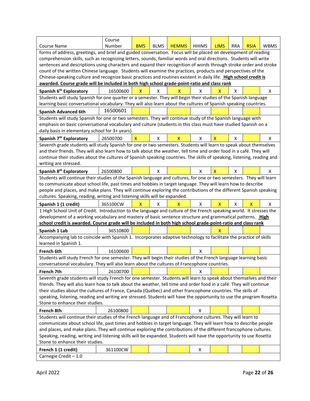| <b>Course Name</b>                                                                                                      | Course<br>Number | <b>BMS</b>   | <b>BLMS</b> | <b>HEMMS</b> | <b>HHIMS</b> | <b>LIMS</b>  | <b>RRA</b> | <b>RSIA</b> | <b>WBMS</b> |
|-------------------------------------------------------------------------------------------------------------------------|------------------|--------------|-------------|--------------|--------------|--------------|------------|-------------|-------------|
| forms of address, greetings, and brief and guided conversation. Focus will be placed on development of reading          |                  |              |             |              |              |              |            |             |             |
| comprehension skills, such as recognizing letters, sounds, familiar words and oral directions. Students will write      |                  |              |             |              |              |              |            |             |             |
| sentences and descriptions using characters and expand their recognition of words through stroke order and stroke       |                  |              |             |              |              |              |            |             |             |
| count of the written Chinese language. Students will examine the practices, products and perspectives of the            |                  |              |             |              |              |              |            |             |             |
| Chinese-speaking culture and recognize basic practices and routines existent in daily life. High school credit is       |                  |              |             |              |              |              |            |             |             |
| awarded. Course grade will be included in both high school grade-point-ratio and class rank                             |                  |              |             |              |              |              |            |             |             |
| Spanish 6 <sup>th</sup> Exploratory                                                                                     | 16500600         | X            | x           | X            | х            | х            | x          |             | Χ           |
| Students will study Spanish for one quarter or a semester. They will begin their studies of the Spanish language        |                  |              |             |              |              |              |            |             |             |
| learning basic conversational vocabulary. They will also learn about the cultures of Spanish speaking countries.        |                  |              |             |              |              |              |            |             |             |
| <b>Spanish Advanced 6th</b>                                                                                             | 16500601         |              |             |              |              |              |            |             |             |
| Students will study Spanish for one or two semesters. They will continue study of the Spanish language with             |                  |              |             |              |              |              |            |             |             |
| emphasis on basic conversational vocabulary and culture (students in this class must have studied Spanish on a          |                  |              |             |              |              |              |            |             |             |
| daily basis in elementary school for 3+ years).                                                                         |                  |              |             |              |              |              |            |             |             |
| Spanish 7 <sup>th</sup> Exploratory                                                                                     | 26500700         | X            | X           | X            | X            | Χ            | X          |             | X           |
| Seventh grade students will study Spanish for one or two semesters. Students will learn to speak about themselves       |                  |              |             |              |              |              |            |             |             |
| and their friends. They will also learn how to talk about the weather, tell time and order food in a café. They will    |                  |              |             |              |              |              |            |             |             |
| continue their studies about the cultures of Spanish speaking countries. The skills of speaking, listening, reading and |                  |              |             |              |              |              |            |             |             |
| writing are stressed.                                                                                                   |                  |              |             |              |              |              |            |             |             |
|                                                                                                                         |                  |              |             |              |              |              |            |             |             |
| Spanish 8 <sup>th</sup> Exploratory                                                                                     | 26500800         |              | X           |              | X            | $\mathsf{x}$ | X          |             | X           |
| Students will continue their studies of the Spanish language and cultures, for one or two semesters. They will learn    |                  |              |             |              |              |              |            |             |             |
| to communicate about school life, past times and hobbies in target language. They will learn how to describe            |                  |              |             |              |              |              |            |             |             |
| people and places, and make plans. They will continue exploring the contributions of the different Spanish speaking     |                  |              |             |              |              |              |            |             |             |
| cultures. Speaking, reading, writing and listening skills will be expanded.                                             |                  |              |             |              |              |              |            |             |             |
|                                                                                                                         |                  |              |             |              |              |              |            |             |             |
| Spanish 1 (1 credit)                                                                                                    | 365100CW         | $\mathsf{x}$ | X           | X            | X            | <b>X</b>     | X          | X           | X           |
| 1 High School Unit of Credit. Introduction to the language and culture of the French speaking world. It stresses the    |                  |              |             |              |              |              |            |             |             |
| development of a working vocabulary and mastery of basic sentence structure and grammatical patterns. High              |                  |              |             |              |              |              |            |             |             |
| school credit is awarded. Course grade will be included in both high school grade-point-ratio and class rank            |                  |              |             |              |              |              |            |             |             |
| Spanish 1 Lab                                                                                                           | 36510800         |              |             |              |              | х            |            |             |             |
| Accompanying lab to coincide with Spanish 1. Incorporates adaptive technology to facilitate the practice of skills      |                  |              |             |              |              |              |            |             |             |
| learned in Spanish 1.                                                                                                   |                  |              |             |              |              |              |            |             |             |
| French 6th                                                                                                              | 16100600         |              |             |              | X            |              |            |             |             |
| Students will study French for one semester. They will begin their studies of the French language learning basic        |                  |              |             |              |              |              |            |             |             |
| conversational vocabulary. They will also learn about the cultures of Francophone countries.                            |                  |              |             |              |              |              |            |             |             |
| French 7th                                                                                                              | 26100700         |              |             |              | x            |              |            |             |             |
| Seventh grade students will study French for one semester. Students will learn to speak about themselves and their      |                  |              |             |              |              |              |            |             |             |
| friends. They will also learn how to talk about the weather, tell time and order food in a café. They will continue     |                  |              |             |              |              |              |            |             |             |
| their studies about the cultures of France, Canada (Québec) and other francophone countries. The skills of              |                  |              |             |              |              |              |            |             |             |
| speaking, listening, reading and writing are stressed. Students will have the opportunity to use the program Rosetta    |                  |              |             |              |              |              |            |             |             |
| Stone to enhance their studies.                                                                                         |                  |              |             |              |              |              |            |             |             |
| French 8th                                                                                                              | 26100800         |              |             |              | X            |              |            |             |             |
| Students will continue their studies of the French language and of Francophone cultures. They will learn to             |                  |              |             |              |              |              |            |             |             |
| communicate about school life, past times and hobbies in target language. They will learn how to describe people        |                  |              |             |              |              |              |            |             |             |
| and places, and make plans. They will continue exploring the contributions of the different francophone cultures.       |                  |              |             |              |              |              |            |             |             |
| Speaking, reading, writing and listening skills will be expanded. Students will have the opportunity to use Rosetta     |                  |              |             |              |              |              |            |             |             |
| Stone to enhance their studies.                                                                                         |                  |              |             |              |              |              |            |             |             |
|                                                                                                                         | 361100CW         |              |             |              | X            |              |            |             |             |
| French 1 (1 credit)<br>Carnegie Credit-1.0                                                                              |                  |              |             |              |              |              |            |             |             |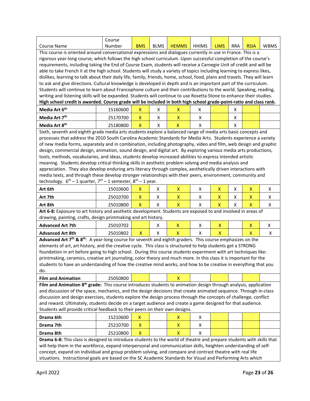| <b>Course Name</b>                                                                                                                              | Course<br>Number | <b>BMS</b>                               | <b>BLMS</b> | <b>HEMMS</b>            | <b>HHIMS</b> | <b>LIMS</b>               | RRA | <b>RSIA</b> | <b>WBMS</b> |
|-------------------------------------------------------------------------------------------------------------------------------------------------|------------------|------------------------------------------|-------------|-------------------------|--------------|---------------------------|-----|-------------|-------------|
|                                                                                                                                                 |                  |                                          |             |                         |              |                           |     |             |             |
| This course is oriented around conversational expressions and dialogues currently in use in France. This is a                                   |                  |                                          |             |                         |              |                           |     |             |             |
| rigorous year-long course, which follows the high school curriculum. Upon successful completion of the course's                                 |                  |                                          |             |                         |              |                           |     |             |             |
| requirements, including taking the End of Course Exam, students will receive a Carnegie Unit of credit and will be                              |                  |                                          |             |                         |              |                           |     |             |             |
| able to take French II at the high school. Students will study a variety of topics including learning to express likes,                         |                  |                                          |             |                         |              |                           |     |             |             |
| dislikes, learning to talk about their daily life, family, friends, home, school, food, plans and travels. They will learn                      |                  |                                          |             |                         |              |                           |     |             |             |
| to ask and give directions. Cultural knowledge is developed in depth and is an important part of the curriculum.                                |                  |                                          |             |                         |              |                           |     |             |             |
| Students will continue to learn about Francophone culture and their contributions to the world. Speaking, reading,                              |                  |                                          |             |                         |              |                           |     |             |             |
| writing and listening skills will be expanded. Students will continue to use Rosetta Stone to enhance their studies.                            |                  |                                          |             |                         |              |                           |     |             |             |
| High school credit is awarded. Course grade will be included in both high school grade-point-ratio and class rank.<br>Media Art 6 <sup>th</sup> | 15160600         | X                                        | Χ           | х                       | X            |                           | х   |             |             |
| Media Art 7 <sup>th</sup>                                                                                                                       | 25170700         | X                                        | X           | X                       | Χ            |                           | X   |             |             |
| Media Art 8 <sup>th</sup>                                                                                                                       | 25180800         | X                                        | X           | X                       | X            |                           | X   |             |             |
| Sixth, seventh and eighth grade media arts students explore a balanced range of media arts basic concepts and                                   |                  |                                          |             |                         |              |                           |     |             |             |
| processes that address the 2010 South Carolina Academic Standards for Media Arts. Students experience a variety                                 |                  |                                          |             |                         |              |                           |     |             |             |
| of new media forms, separately and in combination, including photography, video and film, web design and graphic                                |                  |                                          |             |                         |              |                           |     |             |             |
|                                                                                                                                                 |                  |                                          |             |                         |              |                           |     |             |             |
| design, commercial design, animation, sound design, and digital art. By exploring various media arts productions,                               |                  |                                          |             |                         |              |                           |     |             |             |
| tools, methods, vocabularies, and ideas, students develop increased abilities to express intended artistic                                      |                  |                                          |             |                         |              |                           |     |             |             |
| meaning. Students develop critical thinking skills in aesthetic problem solving and media analysis and                                          |                  |                                          |             |                         |              |                           |     |             |             |
| appreciation. They also develop enduring arts literacy through complex, aesthetically driven interactions with                                  |                  |                                          |             |                         |              |                           |     |             |             |
| media texts, and through these develop stronger relationships with their peers, environment, community and                                      |                  |                                          |             |                         |              |                           |     |             |             |
| technology. $6^{th}$ – 1 quarter, $7^{th}$ – 1 semester, $8^{th}$ – 1 year.                                                                     |                  |                                          |             |                         |              |                           |     |             |             |
| Art 6th                                                                                                                                         | 15010600         | x                                        | X           | X                       | x            | X                         | Χ   | Χ           | Χ           |
| Art 7th                                                                                                                                         | 25010700         | X                                        | X           | $\pmb{\mathsf{X}}$      | Χ            | X                         | X   | X           | X           |
| Art 8th                                                                                                                                         | 25010800         | $\mathsf{x}$                             | X           | $\overline{\mathsf{X}}$ | X            | $\boldsymbol{\mathsf{X}}$ | X   | X           | Χ           |
| Art 6-8: Exposure to art history and aesthetic development. Students are exposed to and involved in areas of                                    |                  |                                          |             |                         |              |                           |     |             |             |
| drawing, painting, crafts, design printmaking and art history.                                                                                  |                  |                                          |             |                         |              |                           |     |             |             |
| <b>Advanced Art 7th</b>                                                                                                                         | 25010702         |                                          | X           | X                       | х            | Χ                         |     | Χ           | X           |
| <b>Advanced Art 8th</b>                                                                                                                         | 25010802         | $\pmb{\mathsf{X}}$                       | X           | $\overline{\mathsf{X}}$ | Χ            | X                         |     | X           | X           |
| Advanced Art 7 <sup>th</sup> & 8 <sup>th</sup> : A year-long course for seventh and eighth graders. This course emphasizes on the               |                  |                                          |             |                         |              |                           |     |             |             |
| elements of art, art history, and the creative cycle. This class is structured to help students get a STRONG                                    |                  |                                          |             |                         |              |                           |     |             |             |
| foundation in art before going to high school. During this course students experiment with art techniques like:                                 |                  |                                          |             |                         |              |                           |     |             |             |
| printmaking, ceramics, creative art journaling, color theory and much more. In this class it is important for the                               |                  |                                          |             |                         |              |                           |     |             |             |
| students to have an understanding of how the creative mind works, and how to be creative in everything that you                                 |                  |                                          |             |                         |              |                           |     |             |             |
| do.                                                                                                                                             |                  |                                          |             |                         |              |                           |     |             |             |
| <b>Film and Animation</b>                                                                                                                       | 25050800         |                                          |             | $\mathsf{x}$            |              |                           |     |             |             |
| Film and Animation 8 <sup>th</sup> grade: This course introduces students to animation design through analysis, application                     |                  |                                          |             |                         |              |                           |     |             |             |
| and discussion of the space, mechanics, and the design decisions that create animated sequence. Through in-class                                |                  |                                          |             |                         |              |                           |     |             |             |
| discussion and design exercises, students explore the design process through the concepts of challenge, conflict                                |                  |                                          |             |                         |              |                           |     |             |             |
| and reward. Ultimately, students decide on a target audience and create a game designed for that audience.                                      |                  |                                          |             |                         |              |                           |     |             |             |
| Students will provide critical feedback to their peers on their own designs.                                                                    |                  |                                          |             |                         |              |                           |     |             |             |
| Drama 6th                                                                                                                                       |                  |                                          |             |                         |              |                           |     |             |             |
|                                                                                                                                                 | 15210600         | $\pmb{\mathsf{X}}$                       |             | X                       | Χ            |                           |     |             |             |
| Drama 7th<br>Drama 8th                                                                                                                          | 25210700         | $\pmb{\mathsf{X}}$<br>$\pmb{\mathsf{X}}$ |             | X<br>$\pmb{\mathsf{X}}$ | Χ<br>Χ       |                           |     |             |             |
| Drama 6-8: This class is designed to introduce students to the world of theatre and prepare students with skills that                           | 25210800         |                                          |             |                         |              |                           |     |             |             |
| will help them in the workforce, expand interpersonal and communication skills, heighten understanding of self-                                 |                  |                                          |             |                         |              |                           |     |             |             |
| concept, expand on individual and group problem solving, and compare and contrast theatre with real life                                        |                  |                                          |             |                         |              |                           |     |             |             |
| situations. Instructional goals are based on the SC Academic Standards for Visual and Performing Arts which                                     |                  |                                          |             |                         |              |                           |     |             |             |
|                                                                                                                                                 |                  |                                          |             |                         |              |                           |     |             |             |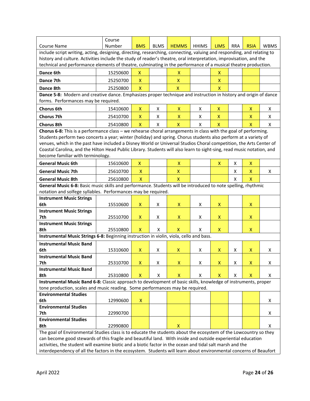|                                                                                                                                                                                | Course   |                           |             |                           |              |                    |            |             |             |
|--------------------------------------------------------------------------------------------------------------------------------------------------------------------------------|----------|---------------------------|-------------|---------------------------|--------------|--------------------|------------|-------------|-------------|
| <b>Course Name</b>                                                                                                                                                             | Number   | <b>BMS</b>                | <b>BLMS</b> | <b>HEMMS</b>              | <b>HHIMS</b> | <b>LIMS</b>        | <b>RRA</b> | <b>RSIA</b> | <b>WBMS</b> |
| include script writing, acting, designing, directing, researching, connecting, valuing and responding, and relating to                                                         |          |                           |             |                           |              |                    |            |             |             |
| history and culture. Activities include the study of reader's theatre, oral interpretation, improvisation, and the                                                             |          |                           |             |                           |              |                    |            |             |             |
| technical and performance elements of theatre, culminating in the performance of a musical theatre production.                                                                 |          |                           |             |                           |              |                    |            |             |             |
| Dance 6th                                                                                                                                                                      | 15250600 | X                         |             | х                         |              | x                  |            |             |             |
| Dance 7th                                                                                                                                                                      | 25250700 | $\boldsymbol{\mathsf{X}}$ |             | $\boldsymbol{\mathsf{x}}$ |              | X                  |            |             |             |
| Dance 8th                                                                                                                                                                      | 25250800 | $\mathsf{x}$              |             | X.                        |              | $\mathsf{x}$       |            |             |             |
| Dance 5-8: Modern and creative dance. Emphasizes proper technique and instruction in history and origin of dance                                                               |          |                           |             |                           |              |                    |            |             |             |
| forms. Performances may be required.                                                                                                                                           |          |                           |             |                           |              |                    |            |             |             |
| <b>Chorus 6th</b>                                                                                                                                                              | 15410600 | X                         | X           | Χ                         | X            | X                  |            | X           | X           |
| <b>Chorus 7th</b>                                                                                                                                                              | 25410700 | X                         | X           | X                         | X            | X                  |            | X           | X           |
| <b>Chorus 8th</b>                                                                                                                                                              | 25410800 | X                         | X           | $\mathsf{X}$              | X            | X                  |            | x           | X           |
| Chorus 6-8: This is a performance class - we rehearse choral arrangements in class with the goal of performing.                                                                |          |                           |             |                           |              |                    |            |             |             |
| Students perform two concerts a year; winter (holiday) and spring. Chorus students also perform at a variety of                                                                |          |                           |             |                           |              |                    |            |             |             |
| venues, which in the past have included a Disney World or Universal Studios Choral competition, the Arts Center of                                                             |          |                           |             |                           |              |                    |            |             |             |
| Coastal Carolina, and the Hilton Head Public Library. Students will also learn to sight-sing, read music notation, and                                                         |          |                           |             |                           |              |                    |            |             |             |
| become familiar with terminology.                                                                                                                                              |          |                           |             |                           |              |                    |            |             |             |
| <b>General Music 6th</b>                                                                                                                                                       | 15610600 | X                         |             | Χ                         |              | X                  | X          | X           |             |
| <b>General Music 7th</b>                                                                                                                                                       | 25610700 | X                         |             | $\pmb{\mathsf{X}}$        |              |                    | X          | X           | X           |
| <b>General Music 8th</b>                                                                                                                                                       | 25610800 | $\mathsf{X}$              |             | $\mathsf{x}$              |              |                    | X          | x           |             |
|                                                                                                                                                                                |          |                           |             |                           |              |                    |            |             |             |
| General Music 6-8: Basic music skills and performance. Students will be introduced to note spelling, rhythmic<br>notation and solfege syllables. Performances may be required. |          |                           |             |                           |              |                    |            |             |             |
| <b>Instrument Music Strings</b>                                                                                                                                                |          |                           |             |                           |              |                    |            |             |             |
| 6th                                                                                                                                                                            | 15510600 | X                         | X           | x                         | X            | X                  |            | X           |             |
| <b>Instrument Music Strings</b>                                                                                                                                                |          |                           |             |                           |              |                    |            |             |             |
| 7th                                                                                                                                                                            | 25510700 | X                         | X           | x                         | X            | X                  |            | X           |             |
| <b>Instrument Music Strings</b>                                                                                                                                                |          |                           |             |                           |              |                    |            |             |             |
| 8th                                                                                                                                                                            | 25510800 | $\mathsf{x}$              | X           | $\mathsf{x}$              | X            | X                  |            | X           |             |
| Instrumental Music Strings 6-8: Beginning instruction in violin, viola, cello and bass.                                                                                        |          |                           |             |                           |              |                    |            |             |             |
| <b>Instrumental Music Band</b>                                                                                                                                                 |          |                           |             |                           |              |                    |            |             |             |
| 6th                                                                                                                                                                            | 15310600 | x                         | X           | x                         | X            | X                  | X          | X           | x           |
| <b>Instrumental Music Band</b>                                                                                                                                                 |          |                           |             |                           |              |                    |            |             |             |
| 7th                                                                                                                                                                            | 25310700 | X                         | Χ           | X                         | х            | X                  | Χ          | X           | x           |
| <b>Instrumental Music Band</b>                                                                                                                                                 |          |                           |             |                           |              |                    |            |             |             |
| 8th                                                                                                                                                                            | 25310800 | X                         | Χ           | $\pmb{\mathsf{X}}$        | x            | $\pmb{\mathsf{X}}$ | X          | X           | X           |
| Instrumental Music Band 6-8: Classic approach to development of basic skills, knowledge of instruments, proper                                                                 |          |                           |             |                           |              |                    |            |             |             |
| tone production, scales and music reading. Some performances may be required.                                                                                                  |          |                           |             |                           |              |                    |            |             |             |
| <b>Environmental Studies</b>                                                                                                                                                   |          |                           |             |                           |              |                    |            |             |             |
| 6th                                                                                                                                                                            | 12990600 | X                         |             |                           |              |                    |            |             | X           |
| <b>Environmental Studies</b>                                                                                                                                                   |          |                           |             |                           |              |                    |            |             |             |
| 7th                                                                                                                                                                            | 22990700 |                           |             |                           |              |                    |            |             | X           |
| <b>Environmental Studies</b><br>8th                                                                                                                                            | 22990800 |                           |             | $\boldsymbol{\mathsf{X}}$ |              |                    |            |             | Χ           |
| The goal of Environmental Studies class is to educate the students about the ecosystem of the Lowcountry so they                                                               |          |                           |             |                           |              |                    |            |             |             |
| can become good stewards of this fragile and beautiful land. With inside and outside experiential education                                                                    |          |                           |             |                           |              |                    |            |             |             |
| activities, the student will examine biotic and a biotic factor in the ocean and tidal salt marsh and the                                                                      |          |                           |             |                           |              |                    |            |             |             |
| interdependency of all the factors in the ecosystem. Students will learn about environmental concerns of Beaufort                                                              |          |                           |             |                           |              |                    |            |             |             |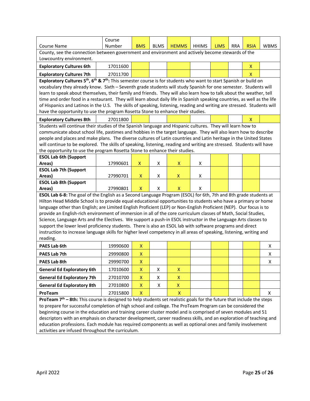|                                                                                                                                                                                                                                                     | Course   |                    |             |                    |              |             |            |             |             |
|-----------------------------------------------------------------------------------------------------------------------------------------------------------------------------------------------------------------------------------------------------|----------|--------------------|-------------|--------------------|--------------|-------------|------------|-------------|-------------|
| <b>Course Name</b>                                                                                                                                                                                                                                  | Number   | <b>BMS</b>         | <b>BLMS</b> | <b>HEMMS</b>       | <b>HHIMS</b> | <b>LIMS</b> | <b>RRA</b> | <b>RSIA</b> | <b>WBMS</b> |
| County, see the connection between government and environment and actively become stewards of the                                                                                                                                                   |          |                    |             |                    |              |             |            |             |             |
| Lowcountry environment.                                                                                                                                                                                                                             |          |                    |             |                    |              |             |            |             |             |
| <b>Exploratory Cultures 6th</b>                                                                                                                                                                                                                     | 17011600 |                    |             |                    |              |             |            | X           |             |
| <b>Exploratory Cultures 7th</b>                                                                                                                                                                                                                     | 27011700 |                    |             |                    |              |             |            | X           |             |
| Exploratory Cultures 5 <sup>th</sup> , 6 <sup>th</sup> & 7 <sup>th</sup> : This semester course is for students who want to start Spanish or build on                                                                                               |          |                    |             |                    |              |             |            |             |             |
| vocabulary they already know. Sixth - Seventh grade students will study Spanish for one semester. Students will                                                                                                                                     |          |                    |             |                    |              |             |            |             |             |
| learn to speak about themselves, their family and friends. They will also learn how to talk about the weather, tell                                                                                                                                 |          |                    |             |                    |              |             |            |             |             |
| time and order food in a restaurant. They will learn about daily life in Spanish speaking countries, as well as the life<br>of Hispanics and Latinos in the U.S. The skills of speaking, listening, reading and writing are stressed. Students will |          |                    |             |                    |              |             |            |             |             |
| have the opportunity to use the program Rosetta Stone to enhance their studies.                                                                                                                                                                     |          |                    |             |                    |              |             |            |             |             |
| <b>Exploratory Cultures 8th</b>                                                                                                                                                                                                                     | 27011800 |                    |             |                    |              |             |            | X           |             |
| Students will continue their studies of the Spanish language and Hispanic cultures. They will learn how to                                                                                                                                          |          |                    |             |                    |              |             |            |             |             |
| communicate about school life, pastimes and hobbies in the target language. They will also learn how to describe                                                                                                                                    |          |                    |             |                    |              |             |            |             |             |
| people and places and make plans. The diverse cultures of Latin countries and Latin heritage in the United States                                                                                                                                   |          |                    |             |                    |              |             |            |             |             |
| will continue to be explored. The skills of speaking, listening, reading and writing are stressed. Students will have                                                                                                                               |          |                    |             |                    |              |             |            |             |             |
| the opportunity to use the program Rosetta Stone to enhance their studies.                                                                                                                                                                          |          |                    |             |                    |              |             |            |             |             |
| <b>ESOL Lab 6th (Support</b>                                                                                                                                                                                                                        |          |                    |             |                    |              |             |            |             |             |
| Areas)                                                                                                                                                                                                                                              | 17990601 | $\pmb{\mathsf{X}}$ | X           | X                  | X            |             |            |             |             |
| <b>ESOL Lab 7th (Support</b>                                                                                                                                                                                                                        |          |                    |             |                    |              |             |            |             |             |
| Areas)                                                                                                                                                                                                                                              | 27990701 | X                  | X           | X                  | X            |             |            |             |             |
| <b>ESOL Lab 8th (Support</b>                                                                                                                                                                                                                        |          |                    |             |                    |              |             |            |             |             |
| Areas)                                                                                                                                                                                                                                              | 27990801 | X                  | X           | X                  | X            |             |            |             |             |
| ESOL Lab 6-8: The goal of the English as a Second Language Program (ESOL) for 6th, 7th and 8th grade students at<br>Hilton Head Middle School is to provide equal educational opportunities to students who have a primary or home                  |          |                    |             |                    |              |             |            |             |             |
| language other than English; are Limited English Proficient (LEP) or Non-English Proficient (NEP). Our focus is to                                                                                                                                  |          |                    |             |                    |              |             |            |             |             |
| provide an English-rich environment of immersion in all of the core curriculum classes of Math, Social Studies,                                                                                                                                     |          |                    |             |                    |              |             |            |             |             |
| Science, Language Arts and the Electives. We support a push-in ESOL instructor in the Language Arts classes to                                                                                                                                      |          |                    |             |                    |              |             |            |             |             |
| support the lower level proficiency students. There is also an ESOL lab with software programs and direct                                                                                                                                           |          |                    |             |                    |              |             |            |             |             |
| instruction to increase language skills for higher level competency in all areas of speaking, listening, writing and                                                                                                                                |          |                    |             |                    |              |             |            |             |             |
| reading.                                                                                                                                                                                                                                            |          |                    |             |                    |              |             |            |             |             |
| <b>PAES Lab 6th</b>                                                                                                                                                                                                                                 | 19990600 | X                  |             |                    |              |             |            |             | х           |
| PAES Lab 7th                                                                                                                                                                                                                                        | 29990800 | $\pmb{\mathsf{X}}$ |             |                    |              |             |            |             | X           |
| PAES Lab 8th                                                                                                                                                                                                                                        | 29990700 | Χ                  |             |                    |              |             |            |             | X           |
| <b>General Ed Exploratory 6th</b>                                                                                                                                                                                                                   | 17010600 | $\pmb{\mathsf{X}}$ | X           | $\pmb{\mathsf{X}}$ |              |             |            |             |             |
| <b>General Ed Exploratory 7th</b>                                                                                                                                                                                                                   | 27010700 | $\pmb{\mathsf{X}}$ | X           | $\pmb{\mathsf{X}}$ |              |             |            |             |             |
| <b>General Ed Exploratory 8th</b>                                                                                                                                                                                                                   | 27010800 | X                  | X           | X                  |              |             |            |             |             |
| ProTeam                                                                                                                                                                                                                                             | 27015800 | $\mathsf{X}$       |             | X                  |              |             |            |             | X           |
| <b>ProTeam 7th – 8th:</b> This course is designed to help students set realistic goals for the future that include the steps                                                                                                                        |          |                    |             |                    |              |             |            |             |             |
| to prepare for successful completion of high school and college. The ProTeam Program can be considered the                                                                                                                                          |          |                    |             |                    |              |             |            |             |             |
| beginning course in the education and training career cluster model and is comprised of seven modules and 51                                                                                                                                        |          |                    |             |                    |              |             |            |             |             |
| descriptors with an emphasis on character development, career readiness skills, and an exploration of teaching and                                                                                                                                  |          |                    |             |                    |              |             |            |             |             |
| education professions. Each module has required components as well as optional ones and family involvement                                                                                                                                          |          |                    |             |                    |              |             |            |             |             |
| activities are infused throughout the curriculum.                                                                                                                                                                                                   |          |                    |             |                    |              |             |            |             |             |